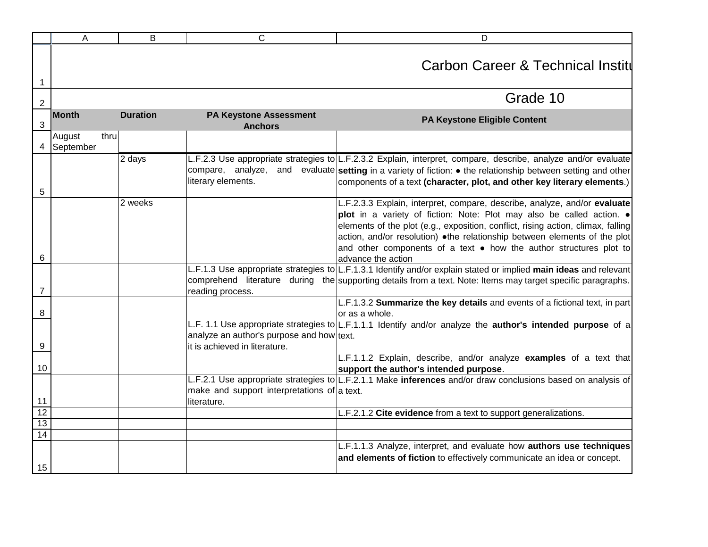|                | A                           | B               | C                                                                          | D                                                                                                                                                                                                                                                                                                                                                                                         |
|----------------|-----------------------------|-----------------|----------------------------------------------------------------------------|-------------------------------------------------------------------------------------------------------------------------------------------------------------------------------------------------------------------------------------------------------------------------------------------------------------------------------------------------------------------------------------------|
| $\mathbf{1}$   |                             |                 |                                                                            | <b>Carbon Career &amp; Technical Instite</b>                                                                                                                                                                                                                                                                                                                                              |
| $\sqrt{2}$     |                             |                 |                                                                            | Grade 10                                                                                                                                                                                                                                                                                                                                                                                  |
| $\mathfrak{S}$ | <b>Month</b>                | <b>Duration</b> | <b>PA Keystone Assessment</b><br><b>Anchors</b>                            | <b>PA Keystone Eligible Content</b>                                                                                                                                                                                                                                                                                                                                                       |
| $\overline{4}$ | thru<br>August<br>September |                 |                                                                            |                                                                                                                                                                                                                                                                                                                                                                                           |
| 5              |                             | 2 days          | literary elements.                                                         | L.F.2.3 Use appropriate strategies to L.F.2.3.2 Explain, interpret, compare, describe, analyze and/or evaluate<br>compare, analyze, and evaluate setting in a variety of fiction: • the relationship between setting and other<br>components of a text (character, plot, and other key literary elements.)                                                                                |
|                |                             | 2 weeks         |                                                                            | L.F.2.3.3 Explain, interpret, compare, describe, analyze, and/or evaluate<br>plot in a variety of fiction: Note: Plot may also be called action. .<br>elements of the plot (e.g., exposition, conflict, rising action, climax, falling<br>action, and/or resolution) •the relationship between elements of the plot<br>and other components of a text • how the author structures plot to |
| 6              |                             |                 |                                                                            | advance the action                                                                                                                                                                                                                                                                                                                                                                        |
| $\overline{7}$ |                             |                 | reading process.                                                           | L.F.1.3 Use appropriate strategies to L.F.1.3.1 Identify and/or explain stated or implied main ideas and relevant<br>comprehend literature during the supporting details from a text. Note: Items may target specific paragraphs.                                                                                                                                                         |
| 8              |                             |                 |                                                                            | L.F.1.3.2 Summarize the key details and events of a fictional text, in part<br>or as a whole.                                                                                                                                                                                                                                                                                             |
| 9              |                             |                 | analyze an author's purpose and how text.<br>it is achieved in literature. | L.F. 1.1 Use appropriate strategies to L.F.1.1.1 Identify and/or analyze the author's intended purpose of a                                                                                                                                                                                                                                                                               |
| 10             |                             |                 |                                                                            | L.F.1.1.2 Explain, describe, and/or analyze examples of a text that<br>support the author's intended purpose.                                                                                                                                                                                                                                                                             |
| 11             |                             |                 | make and support interpretations of a text.<br>literature.                 | L.F.2.1 Use appropriate strategies to L.F.2.1.1 Make inferences and/or draw conclusions based on analysis of                                                                                                                                                                                                                                                                              |
| 12             |                             |                 |                                                                            | L.F.2.1.2 Cite evidence from a text to support generalizations.                                                                                                                                                                                                                                                                                                                           |
| 13<br>14       |                             |                 |                                                                            |                                                                                                                                                                                                                                                                                                                                                                                           |
| 15             |                             |                 |                                                                            | L.F.1.1.3 Analyze, interpret, and evaluate how authors use techniques<br>and elements of fiction to effectively communicate an idea or concept.                                                                                                                                                                                                                                           |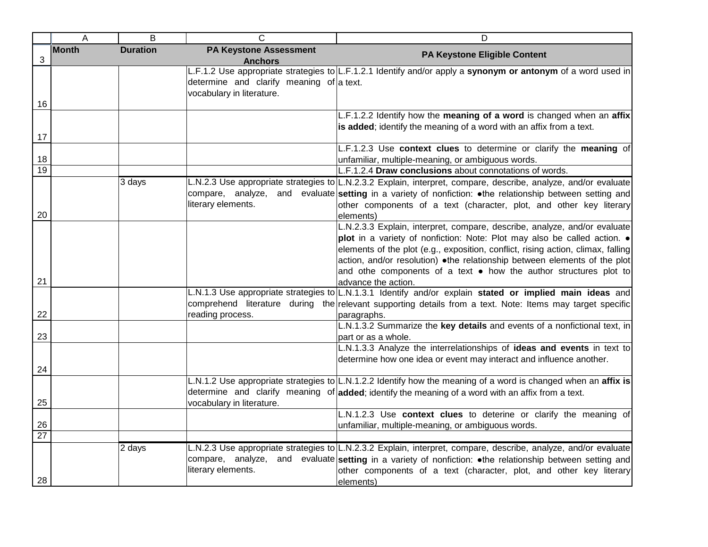|                 | Α            | B               | $\mathsf{C}$                                                          | D                                                                                                                                                                                                                                                                                                                                                                                                                  |
|-----------------|--------------|-----------------|-----------------------------------------------------------------------|--------------------------------------------------------------------------------------------------------------------------------------------------------------------------------------------------------------------------------------------------------------------------------------------------------------------------------------------------------------------------------------------------------------------|
| 3               | <b>Month</b> | <b>Duration</b> | <b>PA Keystone Assessment</b><br><b>Anchors</b>                       | PA Keystone Eligible Content                                                                                                                                                                                                                                                                                                                                                                                       |
|                 |              |                 | determine and clarify meaning of a text.<br>vocabulary in literature. | L.F.1.2 Use appropriate strategies to L.F.1.2.1 Identify and/or apply a synonym or antonym of a word used in                                                                                                                                                                                                                                                                                                       |
| 16              |              |                 |                                                                       |                                                                                                                                                                                                                                                                                                                                                                                                                    |
| 17              |              |                 |                                                                       | L.F.1.2.2 Identify how the meaning of a word is changed when an affix<br>is added; identify the meaning of a word with an affix from a text.                                                                                                                                                                                                                                                                       |
| 18              |              |                 |                                                                       | L.F.1.2.3 Use context clues to determine or clarify the meaning of<br>unfamiliar, multiple-meaning, or ambiguous words.                                                                                                                                                                                                                                                                                            |
| $\overline{19}$ |              |                 |                                                                       | L.F.1.2.4 Draw conclusions about connotations of words.                                                                                                                                                                                                                                                                                                                                                            |
| 20              |              | 3 days          | literary elements.                                                    | L.N.2.3 Use appropriate strategies to L.N.2.3.2 Explain, interpret, compare, describe, analyze, and/or evaluate<br>compare, analyze, and evaluate setting in a variety of nonfiction: . the relationship between setting and<br>other components of a text (character, plot, and other key literary<br>elements)                                                                                                   |
| 21              |              |                 |                                                                       | L.N.2.3.3 Explain, interpret, compare, describe, analyze, and/or evaluate<br>plot in a variety of nonfiction: Note: Plot may also be called action. .<br>elements of the plot (e.g., exposition, conflict, rising action, climax, falling<br>action, and/or resolution) .the relationship between elements of the plot<br>and othe components of a text . how the author structures plot to<br>advance the action. |
| 22              |              |                 | reading process.                                                      | L.N.1.3 Use appropriate strategies to L.N.1.3.1 Identify and/or explain stated or implied main ideas and<br>comprehend literature during the relevant supporting details from a text. Note: Items may target specific<br>paragraphs.                                                                                                                                                                               |
| 23              |              |                 |                                                                       | L.N.1.3.2 Summarize the key details and events of a nonfictional text, in<br>part or as a whole.                                                                                                                                                                                                                                                                                                                   |
| 24              |              |                 |                                                                       | L.N.1.3.3 Analyze the interrelationships of ideas and events in text to<br>determine how one idea or event may interact and influence another.                                                                                                                                                                                                                                                                     |
| 25              |              |                 | vocabulary in literature.                                             | L.N.1.2 Use appropriate strategies to L.N.1.2.2 Identify how the meaning of a word is changed when an affix is<br>determine and clarify meaning of added; identify the meaning of a word with an affix from a text.                                                                                                                                                                                                |
| 26              |              |                 |                                                                       | L.N.1.2.3 Use context clues to deterine or clarify the meaning of<br>unfamiliar, multiple-meaning, or ambiguous words.                                                                                                                                                                                                                                                                                             |
| $\overline{27}$ |              |                 |                                                                       |                                                                                                                                                                                                                                                                                                                                                                                                                    |
| 28              |              | 2 days          | literary elements.                                                    | L.N.2.3 Use appropriate strategies to L.N.2.3.2 Explain, interpret, compare, describe, analyze, and/or evaluate<br>compare, analyze, and evaluate setting in a variety of nonfiction: • the relationship between setting and<br>other components of a text (character, plot, and other key literary<br>elements)                                                                                                   |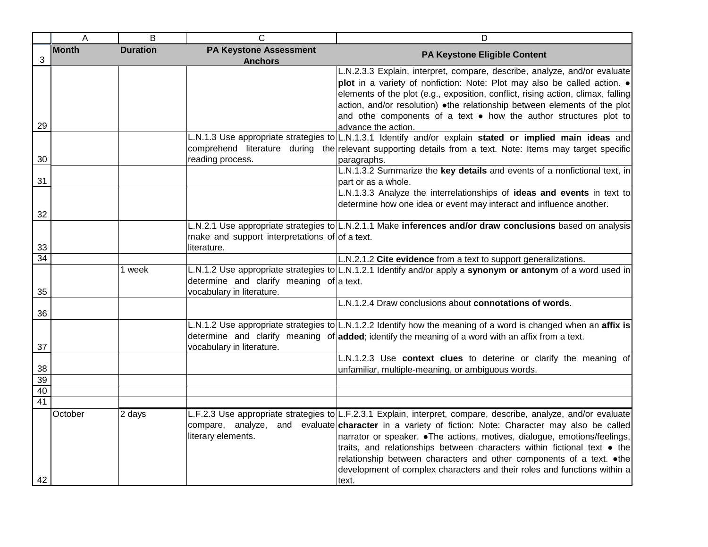|                 | A            | B               | C                                                                     | D                                                                                                                                                                                                                                                                                                                                                                                                                                                                                                                                              |
|-----------------|--------------|-----------------|-----------------------------------------------------------------------|------------------------------------------------------------------------------------------------------------------------------------------------------------------------------------------------------------------------------------------------------------------------------------------------------------------------------------------------------------------------------------------------------------------------------------------------------------------------------------------------------------------------------------------------|
| 3               | <b>Month</b> | <b>Duration</b> | <b>PA Keystone Assessment</b><br><b>Anchors</b>                       | PA Keystone Eligible Content                                                                                                                                                                                                                                                                                                                                                                                                                                                                                                                   |
|                 |              |                 |                                                                       | L.N.2.3.3 Explain, interpret, compare, describe, analyze, and/or evaluate<br>plot in a variety of nonfiction: Note: Plot may also be called action. .<br>elements of the plot (e.g., exposition, conflict, rising action, climax, falling<br>action, and/or resolution) .the relationship between elements of the plot<br>and othe components of a text • how the author structures plot to                                                                                                                                                    |
| 29              |              |                 |                                                                       | advance the action.<br>L.N.1.3 Use appropriate strategies to L.N.1.3.1 Identify and/or explain stated or implied main ideas and<br>comprehend literature during the relevant supporting details from a text. Note: Items may target specific                                                                                                                                                                                                                                                                                                   |
| 30              |              |                 | reading process.                                                      | paragraphs.                                                                                                                                                                                                                                                                                                                                                                                                                                                                                                                                    |
| 31              |              |                 |                                                                       | L.N.1.3.2 Summarize the key details and events of a nonfictional text, in<br>part or as a whole.                                                                                                                                                                                                                                                                                                                                                                                                                                               |
| 32              |              |                 |                                                                       | L.N.1.3.3 Analyze the interrelationships of ideas and events in text to<br>determine how one idea or event may interact and influence another.                                                                                                                                                                                                                                                                                                                                                                                                 |
| 33              |              |                 | make and support interpretations of of a text.<br>literature.         | L.N.2.1 Use appropriate strategies to L.N.2.1.1 Make inferences and/or draw conclusions based on analysis                                                                                                                                                                                                                                                                                                                                                                                                                                      |
| 34              |              |                 |                                                                       | L.N.2.1.2 Cite evidence from a text to support generalizations.                                                                                                                                                                                                                                                                                                                                                                                                                                                                                |
| 35              |              | 1 week          | determine and clarify meaning of a text.<br>vocabulary in literature. | L.N.1.2 Use appropriate strategies to L.N.1.2.1 Identify and/or apply a synonym or antonym of a word used in                                                                                                                                                                                                                                                                                                                                                                                                                                   |
| 36              |              |                 |                                                                       | L.N.1.2.4 Draw conclusions about connotations of words.                                                                                                                                                                                                                                                                                                                                                                                                                                                                                        |
| 37              |              |                 | vocabulary in literature.                                             | L.N.1.2 Use appropriate strategies to L.N.1.2.2 Identify how the meaning of a word is changed when an affix is<br>determine and clarify meaning of added; identify the meaning of a word with an affix from a text.                                                                                                                                                                                                                                                                                                                            |
| 38              |              |                 |                                                                       | L.N.1.2.3 Use context clues to deterine or clarify the meaning of<br>unfamiliar, multiple-meaning, or ambiguous words.                                                                                                                                                                                                                                                                                                                                                                                                                         |
| 39              |              |                 |                                                                       |                                                                                                                                                                                                                                                                                                                                                                                                                                                                                                                                                |
| 40              |              |                 |                                                                       |                                                                                                                                                                                                                                                                                                                                                                                                                                                                                                                                                |
| $\overline{41}$ |              |                 |                                                                       |                                                                                                                                                                                                                                                                                                                                                                                                                                                                                                                                                |
| 42              | October      | 2 days          | literary elements.                                                    | L.F.2.3 Use appropriate strategies to L.F.2.3.1 Explain, interpret, compare, describe, analyze, and/or evaluate<br>compare, analyze, and evaluate character in a variety of fiction: Note: Character may also be called<br>narrator or speaker. • The actions, motives, dialogue, emotions/feelings,<br>traits, and relationships between characters within fictional text • the<br>relationship between characters and other components of a text. . the<br>development of complex characters and their roles and functions within a<br>text. |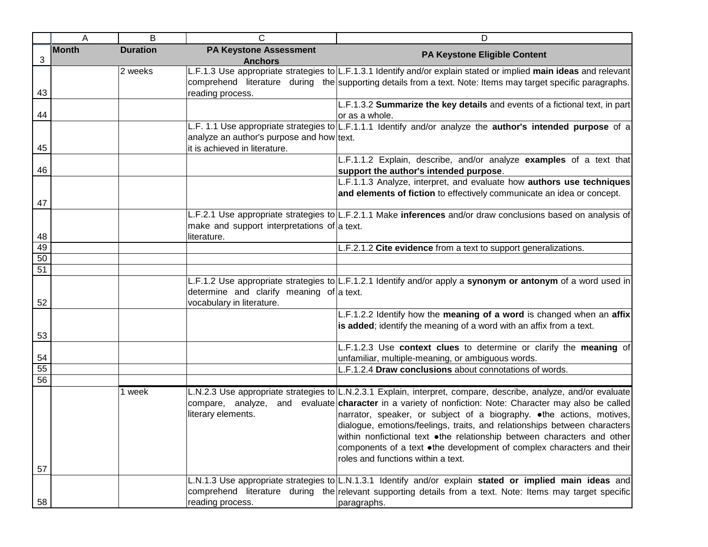|    | Α            | B               | C                                                                          | D                                                                                                                                                                                                                                                                                                                                                                                                                                                                                                                                                        |
|----|--------------|-----------------|----------------------------------------------------------------------------|----------------------------------------------------------------------------------------------------------------------------------------------------------------------------------------------------------------------------------------------------------------------------------------------------------------------------------------------------------------------------------------------------------------------------------------------------------------------------------------------------------------------------------------------------------|
| 3  | <b>Month</b> | <b>Duration</b> | <b>PA Keystone Assessment</b><br><b>Anchors</b>                            | PA Keystone Eligible Content                                                                                                                                                                                                                                                                                                                                                                                                                                                                                                                             |
| 43 |              | 2 weeks         | reading process.                                                           | L.F.1.3 Use appropriate strategies to L.F.1.3.1 Identify and/or explain stated or implied main ideas and relevant<br>comprehend literature during the supporting details from a text. Note: Items may target specific paragraphs.                                                                                                                                                                                                                                                                                                                        |
| 44 |              |                 |                                                                            | L.F.1.3.2 Summarize the key details and events of a fictional text, in part<br>or as a whole.                                                                                                                                                                                                                                                                                                                                                                                                                                                            |
| 45 |              |                 | analyze an author's purpose and how text.<br>it is achieved in literature. | L.F. 1.1 Use appropriate strategies to L.F.1.1.1 Identify and/or analyze the <b>author's intended purpose</b> of a                                                                                                                                                                                                                                                                                                                                                                                                                                       |
| 46 |              |                 |                                                                            | L.F.1.1.2 Explain, describe, and/or analyze examples of a text that<br>support the author's intended purpose.                                                                                                                                                                                                                                                                                                                                                                                                                                            |
| 47 |              |                 |                                                                            | L.F.1.1.3 Analyze, interpret, and evaluate how authors use techniques<br>and elements of fiction to effectively communicate an idea or concept.                                                                                                                                                                                                                                                                                                                                                                                                          |
| 48 |              |                 | make and support interpretations of a text.<br>literature.                 | L.F.2.1 Use appropriate strategies to L.F.2.1.1 Make inferences and/or draw conclusions based on analysis of                                                                                                                                                                                                                                                                                                                                                                                                                                             |
| 49 |              |                 |                                                                            | L.F.2.1.2 Cite evidence from a text to support generalizations.                                                                                                                                                                                                                                                                                                                                                                                                                                                                                          |
| 50 |              |                 |                                                                            |                                                                                                                                                                                                                                                                                                                                                                                                                                                                                                                                                          |
| 51 |              |                 |                                                                            |                                                                                                                                                                                                                                                                                                                                                                                                                                                                                                                                                          |
| 52 |              |                 | determine and clarify meaning of a text.<br>vocabulary in literature.      | L.F.1.2 Use appropriate strategies to L.F.1.2.1 Identify and/or apply a synonym or antonym of a word used in                                                                                                                                                                                                                                                                                                                                                                                                                                             |
| 53 |              |                 |                                                                            | L.F.1.2.2 Identify how the meaning of a word is changed when an affix<br>is added; identify the meaning of a word with an affix from a text.                                                                                                                                                                                                                                                                                                                                                                                                             |
|    |              |                 |                                                                            | L.F.1.2.3 Use context clues to determine or clarify the meaning of                                                                                                                                                                                                                                                                                                                                                                                                                                                                                       |
| 54 |              |                 |                                                                            | unfamiliar, multiple-meaning, or ambiguous words.                                                                                                                                                                                                                                                                                                                                                                                                                                                                                                        |
| 55 |              |                 |                                                                            | L.F.1.2.4 Draw conclusions about connotations of words.                                                                                                                                                                                                                                                                                                                                                                                                                                                                                                  |
| 56 |              |                 |                                                                            |                                                                                                                                                                                                                                                                                                                                                                                                                                                                                                                                                          |
|    |              | 1 week          | compare, analyze,<br>literary elements.                                    | L.N.2.3 Use appropriate strategies to L.N.2.3.1 Explain, interpret, compare, describe, analyze, and/or evaluate<br>and evaluate character in a variety of nonfiction: Note: Character may also be called<br>narrator, speaker, or subject of a biography. . the actions, motives,<br>dialogue, emotions/feelings, traits, and relationships between characters<br>within nonfictional text .the relationship between characters and other<br>components of a text •the development of complex characters and their<br>roles and functions within a text. |
| 57 |              |                 |                                                                            |                                                                                                                                                                                                                                                                                                                                                                                                                                                                                                                                                          |
| 58 |              |                 | reading process.                                                           | L.N.1.3 Use appropriate strategies to L.N.1.3.1 Identify and/or explain stated or implied main ideas and<br>comprehend literature during the relevant supporting details from a text. Note: Items may target specific<br>paragraphs.                                                                                                                                                                                                                                                                                                                     |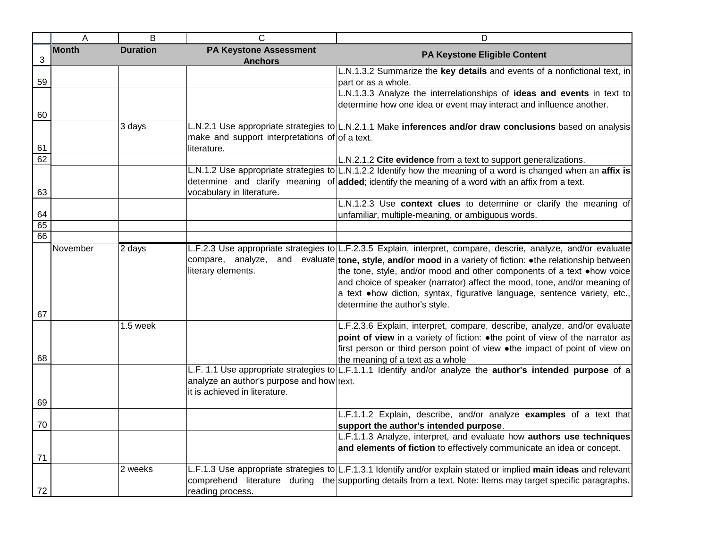|    | A            | B               | $\mathsf{C}$                                                               | D                                                                                                                                                                                                                                                                                                                                                                                                                                                                                         |
|----|--------------|-----------------|----------------------------------------------------------------------------|-------------------------------------------------------------------------------------------------------------------------------------------------------------------------------------------------------------------------------------------------------------------------------------------------------------------------------------------------------------------------------------------------------------------------------------------------------------------------------------------|
| 3  | <b>Month</b> | <b>Duration</b> | <b>PA Keystone Assessment</b><br><b>Anchors</b>                            | PA Keystone Eligible Content                                                                                                                                                                                                                                                                                                                                                                                                                                                              |
| 59 |              |                 |                                                                            | L.N.1.3.2 Summarize the key details and events of a nonfictional text, in<br>part or as a whole.                                                                                                                                                                                                                                                                                                                                                                                          |
| 60 |              |                 |                                                                            | L.N.1.3.3 Analyze the interrelationships of ideas and events in text to<br>determine how one idea or event may interact and influence another.                                                                                                                                                                                                                                                                                                                                            |
| 61 |              | 3 days          | make and support interpretations of of a text.<br>literature.              | L.N.2.1 Use appropriate strategies to L.N.2.1.1 Make inferences and/or draw conclusions based on analysis                                                                                                                                                                                                                                                                                                                                                                                 |
| 62 |              |                 |                                                                            | L.N.2.1.2 Cite evidence from a text to support generalizations.                                                                                                                                                                                                                                                                                                                                                                                                                           |
| 63 |              |                 | vocabulary in literature.                                                  | L.N.1.2 Use appropriate strategies to L.N.1.2.2 Identify how the meaning of a word is changed when an affix is<br>determine and clarify meaning of added; identify the meaning of a word with an affix from a text.                                                                                                                                                                                                                                                                       |
| 64 |              |                 |                                                                            | L.N.1.2.3 Use context clues to determine or clarify the meaning of<br>unfamiliar, multiple-meaning, or ambiguous words.                                                                                                                                                                                                                                                                                                                                                                   |
| 65 |              |                 |                                                                            |                                                                                                                                                                                                                                                                                                                                                                                                                                                                                           |
| 66 |              |                 |                                                                            |                                                                                                                                                                                                                                                                                                                                                                                                                                                                                           |
|    | November     | 2 days          | compare, analyze,<br>literary elements.                                    | L.F.2.3 Use appropriate strategies to L.F.2.3.5 Explain, interpret, compare, descrie, analyze, and/or evaluate<br>and evaluate tone, style, and/or mood in a variety of fiction: • the relationship between<br>the tone, style, and/or mood and other components of a text $\bullet$ how voice<br>and choice of speaker (narrator) affect the mood, tone, and/or meaning of<br>a text .how diction, syntax, figurative language, sentence variety, etc.,<br>determine the author's style. |
| 67 |              |                 |                                                                            |                                                                                                                                                                                                                                                                                                                                                                                                                                                                                           |
| 68 |              | 1.5 week        |                                                                            | L.F.2.3.6 Explain, interpret, compare, describe, analyze, and/or evaluate<br>point of view in a variety of fiction: . the point of view of the narrator as<br>first person or third person point of view .the impact of point of view on<br>the meaning of a text as a whole                                                                                                                                                                                                              |
| 69 |              |                 | analyze an author's purpose and how text.<br>it is achieved in literature. | L.F. 1.1 Use appropriate strategies to L.F.1.1.1 Identify and/or analyze the author's intended purpose of a                                                                                                                                                                                                                                                                                                                                                                               |
| 70 |              |                 |                                                                            | L.F.1.1.2 Explain, describe, and/or analyze examples of a text that<br>support the author's intended purpose.                                                                                                                                                                                                                                                                                                                                                                             |
| 71 |              |                 |                                                                            | L.F.1.1.3 Analyze, interpret, and evaluate how authors use techniques<br>and elements of fiction to effectively communicate an idea or concept.                                                                                                                                                                                                                                                                                                                                           |
| 72 |              | 2 weeks         | reading process.                                                           | L.F.1.3 Use appropriate strategies to L.F.1.3.1 Identify and/or explain stated or implied main ideas and relevant<br>comprehend literature during the supporting details from a text. Note: Items may target specific paragraphs.                                                                                                                                                                                                                                                         |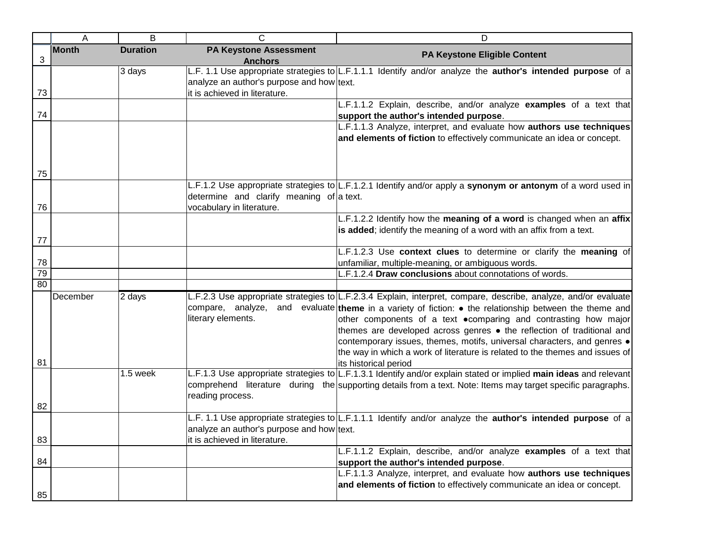|                 | A            | B               | С                                                                          | D                                                                                                                                                                                                                                                                                                                                                                                                                                                                                                                                        |
|-----------------|--------------|-----------------|----------------------------------------------------------------------------|------------------------------------------------------------------------------------------------------------------------------------------------------------------------------------------------------------------------------------------------------------------------------------------------------------------------------------------------------------------------------------------------------------------------------------------------------------------------------------------------------------------------------------------|
| 3               | <b>Month</b> | <b>Duration</b> | <b>PA Keystone Assessment</b><br><b>Anchors</b>                            | PA Keystone Eligible Content                                                                                                                                                                                                                                                                                                                                                                                                                                                                                                             |
| 73              |              | 3 days          | analyze an author's purpose and how text.<br>it is achieved in literature. | L.F. 1.1 Use appropriate strategies to L.F.1.1.1 Identify and/or analyze the <b>author's intended purpose</b> of a                                                                                                                                                                                                                                                                                                                                                                                                                       |
|                 |              |                 |                                                                            | L.F.1.1.2 Explain, describe, and/or analyze examples of a text that                                                                                                                                                                                                                                                                                                                                                                                                                                                                      |
| 74              |              |                 |                                                                            | support the author's intended purpose.<br>L.F.1.1.3 Analyze, interpret, and evaluate how authors use techniques                                                                                                                                                                                                                                                                                                                                                                                                                          |
|                 |              |                 |                                                                            | and elements of fiction to effectively communicate an idea or concept.                                                                                                                                                                                                                                                                                                                                                                                                                                                                   |
| 75              |              |                 |                                                                            |                                                                                                                                                                                                                                                                                                                                                                                                                                                                                                                                          |
| 76              |              |                 | determine and clarify meaning of a text.<br>vocabulary in literature.      | L.F.1.2 Use appropriate strategies to L.F.1.2.1 Identify and/or apply a synonym or antonym of a word used in                                                                                                                                                                                                                                                                                                                                                                                                                             |
|                 |              |                 |                                                                            | L.F.1.2.2 Identify how the meaning of a word is changed when an affix<br>is added; identify the meaning of a word with an affix from a text.                                                                                                                                                                                                                                                                                                                                                                                             |
| 77              |              |                 |                                                                            |                                                                                                                                                                                                                                                                                                                                                                                                                                                                                                                                          |
| 78              |              |                 |                                                                            | L.F.1.2.3 Use context clues to determine or clarify the meaning of<br>unfamiliar, multiple-meaning, or ambiguous words.                                                                                                                                                                                                                                                                                                                                                                                                                  |
| $\overline{79}$ |              |                 |                                                                            | L.F.1.2.4 Draw conclusions about connotations of words.                                                                                                                                                                                                                                                                                                                                                                                                                                                                                  |
| 80              |              |                 |                                                                            |                                                                                                                                                                                                                                                                                                                                                                                                                                                                                                                                          |
| 81              | December     | 2 days          | compare, analyze,<br>literary elements.                                    | L.F.2.3 Use appropriate strategies to L.F.2.3.4 Explain, interpret, compare, describe, analyze, and/or evaluate<br>and evaluate theme in a variety of fiction: • the relationship between the theme and<br>other components of a text .comparing and contrasting how major<br>themes are developed across genres • the reflection of traditional and<br>contemporary issues, themes, motifs, universal characters, and genres .<br>the way in which a work of literature is related to the themes and issues of<br>its historical period |
| 82              |              | 1.5 week        | reading process.                                                           | L.F.1.3 Use appropriate strategies to L.F.1.3.1 Identify and/or explain stated or implied main ideas and relevant<br>comprehend literature during the supporting details from a text. Note: Items may target specific paragraphs.                                                                                                                                                                                                                                                                                                        |
| 83              |              |                 | analyze an author's purpose and how text.<br>it is achieved in literature. | L.F. 1.1 Use appropriate strategies to L.F.1.1.1 Identify and/or analyze the <b>author's intended purpose</b> of a                                                                                                                                                                                                                                                                                                                                                                                                                       |
| 84              |              |                 |                                                                            | L.F.1.1.2 Explain, describe, and/or analyze examples of a text that<br>support the author's intended purpose.                                                                                                                                                                                                                                                                                                                                                                                                                            |
| 85              |              |                 |                                                                            | L.F.1.1.3 Analyze, interpret, and evaluate how authors use techniques<br>and elements of fiction to effectively communicate an idea or concept.                                                                                                                                                                                                                                                                                                                                                                                          |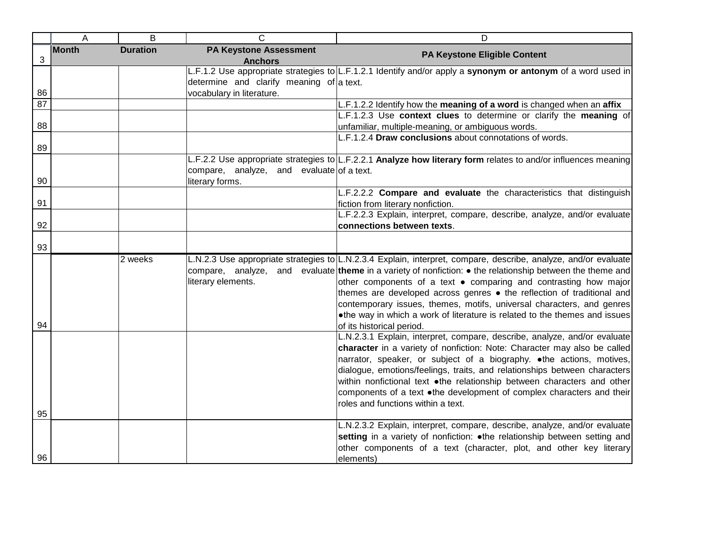|          | A            | $\overline{B}$  | $\mathsf{C}$                                                 | D                                                                                                                                                                                                                                                                                                                                                                                                                                                                                                                                                                      |
|----------|--------------|-----------------|--------------------------------------------------------------|------------------------------------------------------------------------------------------------------------------------------------------------------------------------------------------------------------------------------------------------------------------------------------------------------------------------------------------------------------------------------------------------------------------------------------------------------------------------------------------------------------------------------------------------------------------------|
| 3        | <b>Month</b> | <b>Duration</b> | <b>PA Keystone Assessment</b><br><b>Anchors</b>              | PA Keystone Eligible Content                                                                                                                                                                                                                                                                                                                                                                                                                                                                                                                                           |
|          |              |                 | determine and clarify meaning of a text.                     | L.F.1.2 Use appropriate strategies to L.F.1.2.1 Identify and/or apply a synonym or antonym of a word used in                                                                                                                                                                                                                                                                                                                                                                                                                                                           |
| 86<br>87 |              |                 | vocabulary in literature.                                    | L.F.1.2.2 Identify how the meaning of a word is changed when an affix                                                                                                                                                                                                                                                                                                                                                                                                                                                                                                  |
|          |              |                 |                                                              | L.F.1.2.3 Use context clues to determine or clarify the meaning of                                                                                                                                                                                                                                                                                                                                                                                                                                                                                                     |
| 88       |              |                 |                                                              | unfamiliar, multiple-meaning, or ambiguous words.                                                                                                                                                                                                                                                                                                                                                                                                                                                                                                                      |
|          |              |                 |                                                              | L.F.1.2.4 Draw conclusions about connotations of words.                                                                                                                                                                                                                                                                                                                                                                                                                                                                                                                |
| 89       |              |                 |                                                              |                                                                                                                                                                                                                                                                                                                                                                                                                                                                                                                                                                        |
| 90       |              |                 | compare, analyze, and evaluate of a text.<br>literary forms. | L.F.2.2 Use appropriate strategies to L.F.2.2.1 Analyze how literary form relates to and/or influences meaning                                                                                                                                                                                                                                                                                                                                                                                                                                                         |
| 91       |              |                 |                                                              | L.F.2.2.2 Compare and evaluate the characteristics that distinguish<br>fiction from literary nonfiction.                                                                                                                                                                                                                                                                                                                                                                                                                                                               |
|          |              |                 |                                                              | L.F.2.2.3 Explain, interpret, compare, describe, analyze, and/or evaluate                                                                                                                                                                                                                                                                                                                                                                                                                                                                                              |
| 92       |              |                 |                                                              | connections between texts.                                                                                                                                                                                                                                                                                                                                                                                                                                                                                                                                             |
| 93       |              |                 |                                                              |                                                                                                                                                                                                                                                                                                                                                                                                                                                                                                                                                                        |
| 94       |              | 2 weeks         | literary elements.                                           | L.N.2.3 Use appropriate strategies to L.N.2.3.4 Explain, interpret, compare, describe, analyze, and/or evaluate<br>compare, analyze, and evaluate theme in a variety of nonfiction: $\bullet$ the relationship between the theme and<br>other components of a text . comparing and contrasting how major<br>themes are developed across genres • the reflection of traditional and<br>contemporary issues, themes, motifs, universal characters, and genres<br>•the way in which a work of literature is related to the themes and issues<br>of its historical period. |
| 95       |              |                 |                                                              | L.N.2.3.1 Explain, interpret, compare, describe, analyze, and/or evaluate<br>character in a variety of nonfiction: Note: Character may also be called<br>narrator, speaker, or subject of a biography. • the actions, motives,<br>dialogue, emotions/feelings, traits, and relationships between characters<br>within nonfictional text .the relationship between characters and other<br>components of a text .the development of complex characters and their<br>roles and functions within a text.                                                                  |
|          |              |                 |                                                              | L.N.2.3.2 Explain, interpret, compare, describe, analyze, and/or evaluate                                                                                                                                                                                                                                                                                                                                                                                                                                                                                              |
| 96       |              |                 |                                                              | setting in a variety of nonfiction: . the relationship between setting and<br>other components of a text (character, plot, and other key literary<br>elements)                                                                                                                                                                                                                                                                                                                                                                                                         |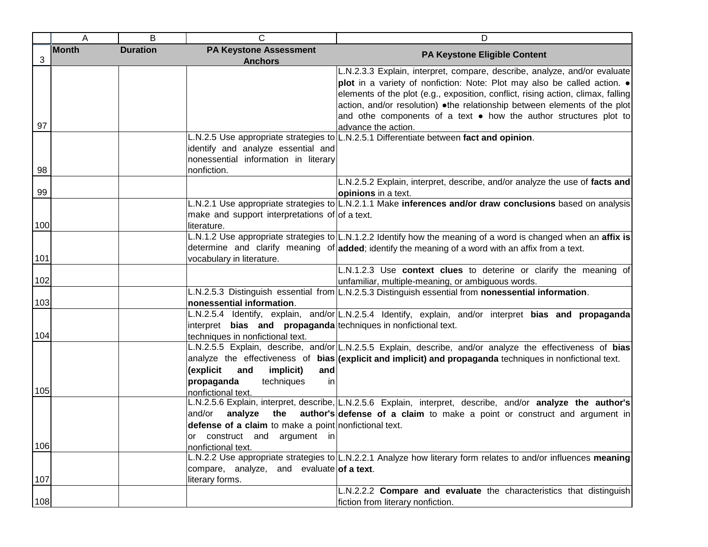|            | A            | B               | C                                                              | D                                                                                                                |
|------------|--------------|-----------------|----------------------------------------------------------------|------------------------------------------------------------------------------------------------------------------|
|            | <b>Month</b> | <b>Duration</b> | <b>PA Keystone Assessment</b>                                  | <b>PA Keystone Eligible Content</b>                                                                              |
| $\sqrt{3}$ |              |                 | <b>Anchors</b>                                                 |                                                                                                                  |
|            |              |                 |                                                                | L.N.2.3.3 Explain, interpret, compare, describe, analyze, and/or evaluate                                        |
|            |              |                 |                                                                | plot in a variety of nonfiction: Note: Plot may also be called action. .                                         |
|            |              |                 |                                                                | elements of the plot (e.g., exposition, conflict, rising action, climax, falling                                 |
|            |              |                 |                                                                | action, and/or resolution) .the relationship between elements of the plot                                        |
|            |              |                 |                                                                | and othe components of a text $\bullet$ how the author structures plot to                                        |
| 97         |              |                 |                                                                | advance the action.                                                                                              |
|            |              |                 |                                                                | L.N.2.5 Use appropriate strategies to L.N.2.5.1 Differentiate between fact and opinion.                          |
|            |              |                 | identify and analyze essential and                             |                                                                                                                  |
|            |              |                 | nonessential information in literary                           |                                                                                                                  |
| 98         |              |                 | nonfiction.                                                    |                                                                                                                  |
|            |              |                 |                                                                | L.N.2.5.2 Explain, interpret, describe, and/or analyze the use of facts and                                      |
| 99         |              |                 |                                                                | opinions in a text.                                                                                              |
|            |              |                 |                                                                | L.N.2.1 Use appropriate strategies to L.N.2.1.1 Make inferences and/or draw conclusions based on analysis        |
|            |              |                 | make and support interpretations of of a text.                 |                                                                                                                  |
| 100        |              |                 | literature.                                                    |                                                                                                                  |
|            |              |                 |                                                                | L.N.1.2 Use appropriate strategies to L.N.1.2.2 Identify how the meaning of a word is changed when an affix is   |
|            |              |                 |                                                                | determine and clarify meaning of added; identify the meaning of a word with an affix from a text.                |
| 101        |              |                 | vocabulary in literature.                                      |                                                                                                                  |
|            |              |                 |                                                                | L.N.1.2.3 Use context clues to deterine or clarify the meaning of                                                |
| 102        |              |                 |                                                                | unfamiliar, multiple-meaning, or ambiguous words.                                                                |
|            |              |                 |                                                                | L.N.2.5.3 Distinguish essential from L.N.2.5.3 Distinguish essential from nonessential information.              |
| 103        |              |                 | nonessential information.                                      |                                                                                                                  |
|            |              |                 |                                                                | L.N.2.5.4 Identify, explain, and/or L.N.2.5.4 Identify, explain, and/or interpret bias and propaganda            |
|            |              |                 | interpret bias and propaganda techniques in nonfictional text. |                                                                                                                  |
| 104        |              |                 | techniques in nonfictional text.                               |                                                                                                                  |
|            |              |                 |                                                                | L.N.2.5.5 Explain, describe, and/or L.N.2.5.5 Explain, describe, and/or analyze the effectiveness of bias        |
|            |              |                 |                                                                | analyze the effectiveness of <b>bias (explicit and implicit) and propaganda</b> techniques in nonfictional text. |
|            |              |                 | (explicit<br>and<br>implicit)<br>and                           |                                                                                                                  |
|            |              |                 | propaganda<br>techniques<br>in                                 |                                                                                                                  |
| 105        |              |                 | nonfictional text.                                             |                                                                                                                  |
|            |              |                 |                                                                | L.N.2.5.6 Explain, interpret, describe, L.N.2.5.6 Explain, interpret, describe, and/or analyze the author's      |
|            |              |                 | and/or<br>analyze<br>the                                       | author's defense of a claim to make a point or construct and argument in                                         |
|            |              |                 | defense of a claim to make a point nonfictional text.          |                                                                                                                  |
|            |              |                 | or construct and argument in                                   |                                                                                                                  |
| 106        |              |                 | nonfictional text.                                             |                                                                                                                  |
|            |              |                 |                                                                | L.N.2.2 Use appropriate strategies to L.N.2.2.1 Analyze how literary form relates to and/or influences meaning   |
|            |              |                 | compare, analyze, and evaluate of a text.                      |                                                                                                                  |
| 107        |              |                 | literary forms.                                                |                                                                                                                  |
|            |              |                 |                                                                | L.N.2.2.2 Compare and evaluate the characteristics that distinguish                                              |
| 108        |              |                 |                                                                | fiction from literary nonfiction.                                                                                |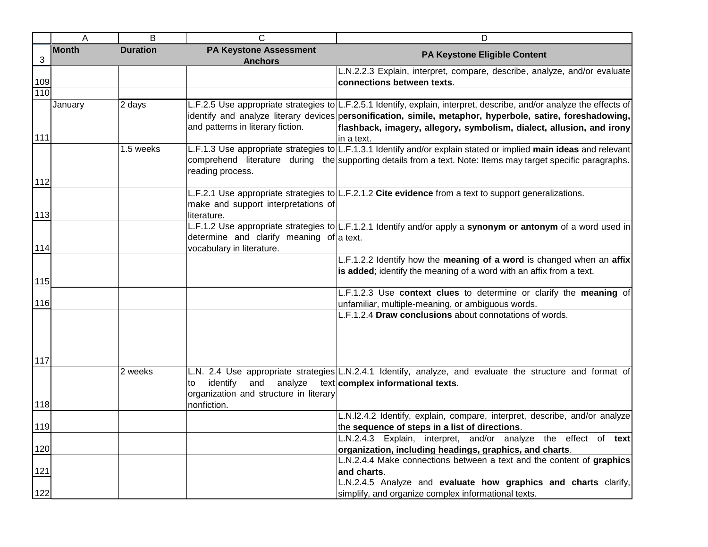|              | Α            | B               | $\mathsf{C}$                                    | D                                                                                                                     |
|--------------|--------------|-----------------|-------------------------------------------------|-----------------------------------------------------------------------------------------------------------------------|
| $\mathbf{3}$ | <b>Month</b> | <b>Duration</b> | <b>PA Keystone Assessment</b><br><b>Anchors</b> | PA Keystone Eligible Content                                                                                          |
|              |              |                 |                                                 | L.N.2.2.3 Explain, interpret, compare, describe, analyze, and/or evaluate                                             |
| 109          |              |                 |                                                 | connections between texts.                                                                                            |
| 110          |              |                 |                                                 |                                                                                                                       |
|              | January      | 2 days          |                                                 | L.F.2.5 Use appropriate strategies to L.F.2.5.1 Identify, explain, interpret, describe, and/or analyze the effects of |
|              |              |                 |                                                 | identify and analyze literary devices personification, simile, metaphor, hyperbole, satire, foreshadowing,            |
|              |              |                 | and patterns in literary fiction.               | flashback, imagery, allegory, symbolism, dialect, allusion, and irony                                                 |
| 111          |              |                 |                                                 | in a text.                                                                                                            |
|              |              | 1.5 weeks       |                                                 | L.F.1.3 Use appropriate strategies to L.F.1.3.1 Identify and/or explain stated or implied main ideas and relevant     |
|              |              |                 |                                                 | comprehend literature during the supporting details from a text. Note: Items may target specific paragraphs.          |
|              |              |                 | reading process.                                |                                                                                                                       |
| 112          |              |                 |                                                 |                                                                                                                       |
|              |              |                 |                                                 | L.F.2.1 Use appropriate strategies to $\lfloor$ L.F.2.1.2 Cite evidence from a text to support generalizations.       |
|              |              |                 | make and support interpretations of             |                                                                                                                       |
| 113          |              |                 | literature.                                     |                                                                                                                       |
|              |              |                 |                                                 | L.F.1.2 Use appropriate strategies to L.F.1.2.1 Identify and/or apply a synonym or antonym of a word used in          |
|              |              |                 | determine and clarify meaning of a text.        |                                                                                                                       |
| 114          |              |                 | vocabulary in literature.                       |                                                                                                                       |
|              |              |                 |                                                 | L.F.1.2.2 Identify how the meaning of a word is changed when an affix                                                 |
| 115          |              |                 |                                                 | is added; identify the meaning of a word with an affix from a text.                                                   |
|              |              |                 |                                                 | L.F.1.2.3 Use context clues to determine or clarify the meaning of                                                    |
| 116          |              |                 |                                                 | unfamiliar, multiple-meaning, or ambiguous words.                                                                     |
|              |              |                 |                                                 | L.F.1.2.4 Draw conclusions about connotations of words.                                                               |
|              |              |                 |                                                 |                                                                                                                       |
| 117          |              |                 |                                                 |                                                                                                                       |
|              |              | 2 weeks         |                                                 | L.N. 2.4 Use appropriate strategies L.N.2.4.1 Identify, analyze, and evaluate the structure and format of             |
|              |              |                 | identify<br>and<br>analyze<br>to                | $text$ complex informational texts.                                                                                   |
|              |              |                 | organization and structure in literary          |                                                                                                                       |
| 118          |              |                 | nonfiction.                                     |                                                                                                                       |
|              |              |                 |                                                 | L.N.I2.4.2 Identify, explain, compare, interpret, describe, and/or analyze                                            |
| 119          |              |                 |                                                 | the sequence of steps in a list of directions.                                                                        |
|              |              |                 |                                                 | L.N.2.4.3 Explain, interpret, and/or analyze the effect of text                                                       |
| 120          |              |                 |                                                 | organization, including headings, graphics, and charts.                                                               |
|              |              |                 |                                                 | L.N.2.4.4 Make connections between a text and the content of graphics                                                 |
| 121          |              |                 |                                                 | and charts.                                                                                                           |
|              |              |                 |                                                 | L.N.2.4.5 Analyze and evaluate how graphics and charts clarify,                                                       |
| 122          |              |                 |                                                 | simplify, and organize complex informational texts.                                                                   |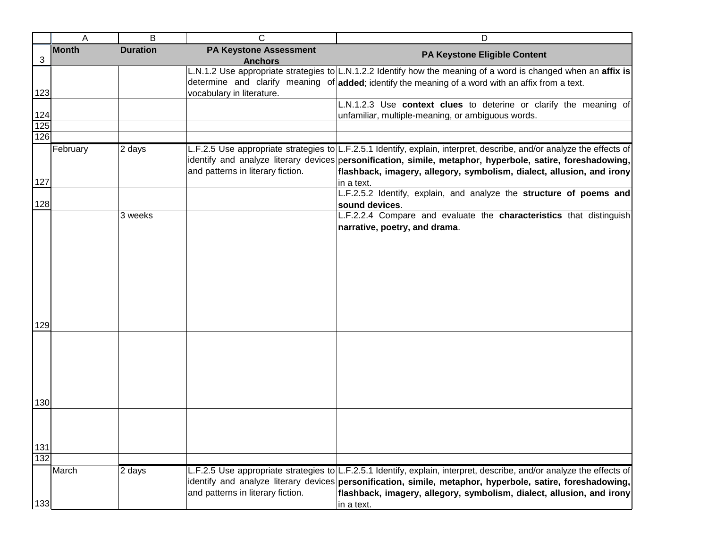|                   | Α            | B               | C                                               | D                                                                                                                     |
|-------------------|--------------|-----------------|-------------------------------------------------|-----------------------------------------------------------------------------------------------------------------------|
| $\sqrt{3}$        | <b>Month</b> | <b>Duration</b> | <b>PA Keystone Assessment</b><br><b>Anchors</b> | PA Keystone Eligible Content                                                                                          |
|                   |              |                 |                                                 | L.N.1.2 Use appropriate strategies to L.N.1.2.2 Identify how the meaning of a word is changed when an affix is        |
|                   |              |                 |                                                 | determine and clarify meaning of added; identify the meaning of a word with an affix from a text.                     |
| 123               |              |                 | vocabulary in literature.                       |                                                                                                                       |
|                   |              |                 |                                                 | L.N.1.2.3 Use context clues to deterine or clarify the meaning of                                                     |
| $\frac{124}{125}$ |              |                 |                                                 | unfamiliar, multiple-meaning, or ambiguous words.                                                                     |
|                   |              |                 |                                                 |                                                                                                                       |
| 126               |              |                 |                                                 |                                                                                                                       |
|                   | February     | 2 days          |                                                 | L.F.2.5 Use appropriate strategies to L.F.2.5.1 Identify, explain, interpret, describe, and/or analyze the effects of |
|                   |              |                 |                                                 | identify and analyze literary devices personification, simile, metaphor, hyperbole, satire, foreshadowing,            |
|                   |              |                 | and patterns in literary fiction.               | flashback, imagery, allegory, symbolism, dialect, allusion, and irony                                                 |
| 127               |              |                 |                                                 | in a text.                                                                                                            |
| 128               |              |                 |                                                 | L.F.2.5.2 Identify, explain, and analyze the structure of poems and<br>sound devices.                                 |
|                   |              | 3 weeks         |                                                 | L.F.2.2.4 Compare and evaluate the characteristics that distinguish                                                   |
|                   |              |                 |                                                 | narrative, poetry, and drama.                                                                                         |
|                   |              |                 |                                                 |                                                                                                                       |
|                   |              |                 |                                                 |                                                                                                                       |
|                   |              |                 |                                                 |                                                                                                                       |
|                   |              |                 |                                                 |                                                                                                                       |
|                   |              |                 |                                                 |                                                                                                                       |
|                   |              |                 |                                                 |                                                                                                                       |
|                   |              |                 |                                                 |                                                                                                                       |
|                   |              |                 |                                                 |                                                                                                                       |
| 129               |              |                 |                                                 |                                                                                                                       |
|                   |              |                 |                                                 |                                                                                                                       |
|                   |              |                 |                                                 |                                                                                                                       |
|                   |              |                 |                                                 |                                                                                                                       |
|                   |              |                 |                                                 |                                                                                                                       |
|                   |              |                 |                                                 |                                                                                                                       |
|                   |              |                 |                                                 |                                                                                                                       |
| 130               |              |                 |                                                 |                                                                                                                       |
|                   |              |                 |                                                 |                                                                                                                       |
|                   |              |                 |                                                 |                                                                                                                       |
|                   |              |                 |                                                 |                                                                                                                       |
| 131               |              |                 |                                                 |                                                                                                                       |
| 132               |              |                 |                                                 |                                                                                                                       |
|                   | March        | 2 days          |                                                 | L.F.2.5 Use appropriate strategies to L.F.2.5.1 Identify, explain, interpret, describe, and/or analyze the effects of |
|                   |              |                 |                                                 | identify and analyze literary devices personification, simile, metaphor, hyperbole, satire, foreshadowing,            |
|                   |              |                 | and patterns in literary fiction.               | flashback, imagery, allegory, symbolism, dialect, allusion, and irony                                                 |
| 133               |              |                 |                                                 | in a text.                                                                                                            |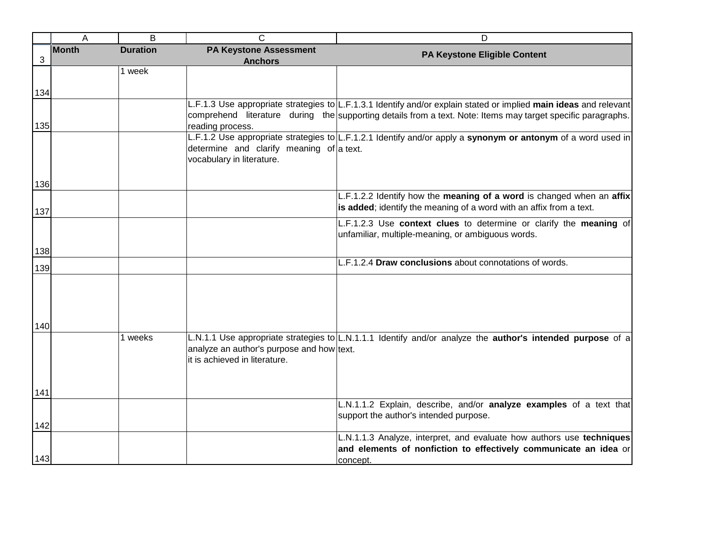|                | A            | $\overline{B}$  | $\mathsf{C}$                                                          | D                                                                                                                       |
|----------------|--------------|-----------------|-----------------------------------------------------------------------|-------------------------------------------------------------------------------------------------------------------------|
| $\mathfrak{S}$ | <b>Month</b> | <b>Duration</b> | <b>PA Keystone Assessment</b><br><b>Anchors</b>                       | PA Keystone Eligible Content                                                                                            |
|                |              | 1 week          |                                                                       |                                                                                                                         |
|                |              |                 |                                                                       |                                                                                                                         |
| 134            |              |                 |                                                                       | L.F.1.3 Use appropriate strategies to L.F.1.3.1 Identify and/or explain stated or implied main ideas and relevant       |
|                |              |                 |                                                                       | comprehend literature during the supporting details from a text. Note: Items may target specific paragraphs.            |
| 135            |              |                 | reading process.                                                      |                                                                                                                         |
|                |              |                 |                                                                       | L.F.1.2 Use appropriate strategies to L.F.1.2.1 Identify and/or apply a synonym or antonym of a word used in            |
|                |              |                 | determine and clarify meaning of a text.<br>vocabulary in literature. |                                                                                                                         |
| 136            |              |                 |                                                                       |                                                                                                                         |
|                |              |                 |                                                                       | L.F.1.2.2 Identify how the meaning of a word is changed when an affix                                                   |
| 137            |              |                 |                                                                       | is added; identify the meaning of a word with an affix from a text.                                                     |
|                |              |                 |                                                                       | L.F.1.2.3 Use context clues to determine or clarify the meaning of<br>unfamiliar, multiple-meaning, or ambiguous words. |
| 138            |              |                 |                                                                       |                                                                                                                         |
|                |              |                 |                                                                       | L.F.1.2.4 Draw conclusions about connotations of words.                                                                 |
| 139            |              |                 |                                                                       |                                                                                                                         |
|                |              |                 |                                                                       |                                                                                                                         |
|                |              |                 |                                                                       |                                                                                                                         |
| 140            |              |                 |                                                                       |                                                                                                                         |
|                |              | 1 weeks         |                                                                       | L.N.1.1 Use appropriate strategies to L.N.1.1.1 Identify and/or analyze the <b>author's intended purpose</b> of a       |
|                |              |                 | analyze an author's purpose and how text.                             |                                                                                                                         |
|                |              |                 | it is achieved in literature.                                         |                                                                                                                         |
|                |              |                 |                                                                       |                                                                                                                         |
| 141            |              |                 |                                                                       |                                                                                                                         |
|                |              |                 |                                                                       | L.N.1.1.2 Explain, describe, and/or analyze examples of a text that<br>support the author's intended purpose.           |
| 142            |              |                 |                                                                       |                                                                                                                         |
|                |              |                 |                                                                       | L.N.1.1.3 Analyze, interpret, and evaluate how authors use techniques                                                   |
|                |              |                 |                                                                       | and elements of nonfiction to effectively communicate an idea or                                                        |
| 143            |              |                 |                                                                       | concept.                                                                                                                |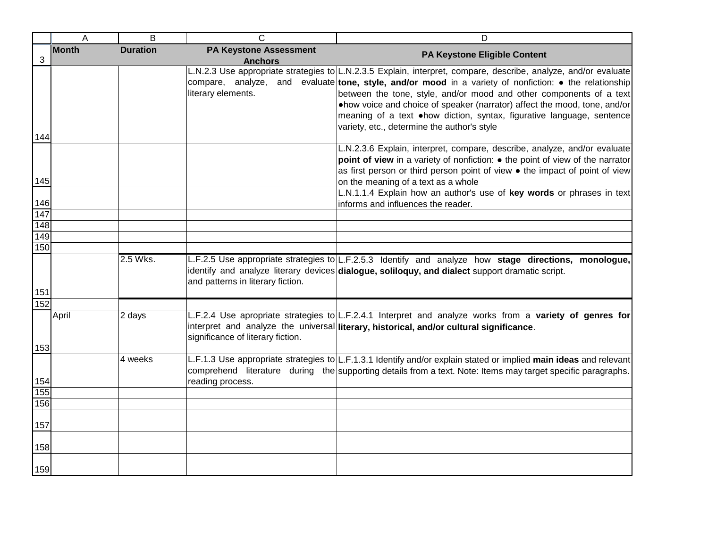|            | A            | B               | C                                               | D                                                                                                                                                                                                                                                                                                                                                                                                                                                                                                              |
|------------|--------------|-----------------|-------------------------------------------------|----------------------------------------------------------------------------------------------------------------------------------------------------------------------------------------------------------------------------------------------------------------------------------------------------------------------------------------------------------------------------------------------------------------------------------------------------------------------------------------------------------------|
| 3          | <b>Month</b> | <b>Duration</b> | <b>PA Keystone Assessment</b><br><b>Anchors</b> | PA Keystone Eligible Content                                                                                                                                                                                                                                                                                                                                                                                                                                                                                   |
|            |              |                 | literary elements.                              | L.N.2.3 Use appropriate strategies to L.N.2.3.5 Explain, interpret, compare, describe, analyze, and/or evaluate<br>compare, analyze, and evaluate tone, style, and/or mood in a variety of nonfiction: $\bullet$ the relationship<br>between the tone, style, and/or mood and other components of a text<br>•how voice and choice of speaker (narrator) affect the mood, tone, and/or<br>meaning of a text . how diction, syntax, figurative language, sentence<br>variety, etc., determine the author's style |
| 144        |              |                 |                                                 |                                                                                                                                                                                                                                                                                                                                                                                                                                                                                                                |
| 145        |              |                 |                                                 | L.N.2.3.6 Explain, interpret, compare, describe, analyze, and/or evaluate<br>point of view in a variety of nonfiction: • the point of view of the narrator<br>as first person or third person point of view • the impact of point of view<br>on the meaning of a text as a whole                                                                                                                                                                                                                               |
|            |              |                 |                                                 | L.N.1.1.4 Explain how an author's use of key words or phrases in text                                                                                                                                                                                                                                                                                                                                                                                                                                          |
| 146        |              |                 |                                                 | informs and influences the reader.                                                                                                                                                                                                                                                                                                                                                                                                                                                                             |
| 147        |              |                 |                                                 |                                                                                                                                                                                                                                                                                                                                                                                                                                                                                                                |
| 148<br>149 |              |                 |                                                 |                                                                                                                                                                                                                                                                                                                                                                                                                                                                                                                |
| 150        |              |                 |                                                 |                                                                                                                                                                                                                                                                                                                                                                                                                                                                                                                |
| 151        |              | 2.5 Wks.        | and patterns in literary fiction.               | L.F.2.5 Use appropriate strategies to L.F.2.5.3 Identify and analyze how stage directions, monologue,<br>identify and analyze literary devices dialogue, soliloquy, and dialect support dramatic script.                                                                                                                                                                                                                                                                                                       |
| 152        |              |                 |                                                 |                                                                                                                                                                                                                                                                                                                                                                                                                                                                                                                |
| 153        | April        | 2 days          | significance of literary fiction.               | L.F.2.4 Use apropriate strategies to L.F.2.4.1 Interpret and analyze works from a variety of genres for<br>interpret and analyze the universal literary, historical, and/or cultural significance.                                                                                                                                                                                                                                                                                                             |
| 154        |              | 4 weeks         | reading process.                                | L.F.1.3 Use appropriate strategies to L.F.1.3.1 Identify and/or explain stated or implied main ideas and relevant<br>comprehend literature during the supporting details from a text. Note: Items may target specific paragraphs.                                                                                                                                                                                                                                                                              |
| 155        |              |                 |                                                 |                                                                                                                                                                                                                                                                                                                                                                                                                                                                                                                |
| 156        |              |                 |                                                 |                                                                                                                                                                                                                                                                                                                                                                                                                                                                                                                |
| 157        |              |                 |                                                 |                                                                                                                                                                                                                                                                                                                                                                                                                                                                                                                |
| 158        |              |                 |                                                 |                                                                                                                                                                                                                                                                                                                                                                                                                                                                                                                |
| 159        |              |                 |                                                 |                                                                                                                                                                                                                                                                                                                                                                                                                                                                                                                |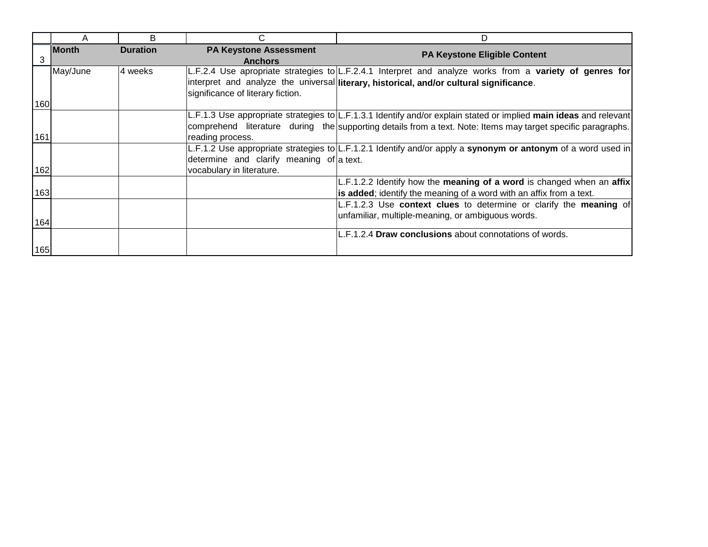|     | A            | B               | С                                                                     | D                                                                                                                                                                                                                                 |
|-----|--------------|-----------------|-----------------------------------------------------------------------|-----------------------------------------------------------------------------------------------------------------------------------------------------------------------------------------------------------------------------------|
| 3   | <b>Month</b> | <b>Duration</b> | <b>PA Keystone Assessment</b><br><b>Anchors</b>                       | <b>PA Keystone Eligible Content</b>                                                                                                                                                                                               |
|     | May/June     | 4 weeks         | significance of literary fiction.                                     | L.F.2.4 Use apropriate strategies to L.F.2.4.1 Interpret and analyze works from a variety of genres for<br>interpret and analyze the universal literary, historical, and/or cultural significance.                                |
| 160 |              |                 |                                                                       |                                                                                                                                                                                                                                   |
| 161 |              |                 | reading process.                                                      | L.F.1.3 Use appropriate strategies to L.F.1.3.1 Identify and/or explain stated or implied main ideas and relevant<br>comprehend literature during the supporting details from a text. Note: Items may target specific paragraphs. |
| 162 |              |                 | determine and clarify meaning of a text.<br>vocabulary in literature. | L.F.1.2 Use appropriate strategies to L.F.1.2.1 Identify and/or apply a synonym or antonym of a word used in                                                                                                                      |
| 163 |              |                 |                                                                       | L.F.1.2.2 Identify how the meaning of a word is changed when an affix<br>is added; identify the meaning of a word with an affix from a text.                                                                                      |
| 164 |              |                 |                                                                       | L.F.1.2.3 Use context clues to determine or clarify the meaning of<br>unfamiliar, multiple-meaning, or ambiguous words.                                                                                                           |
| 165 |              |                 |                                                                       | L.F.1.2.4 Draw conclusions about connotations of words.                                                                                                                                                                           |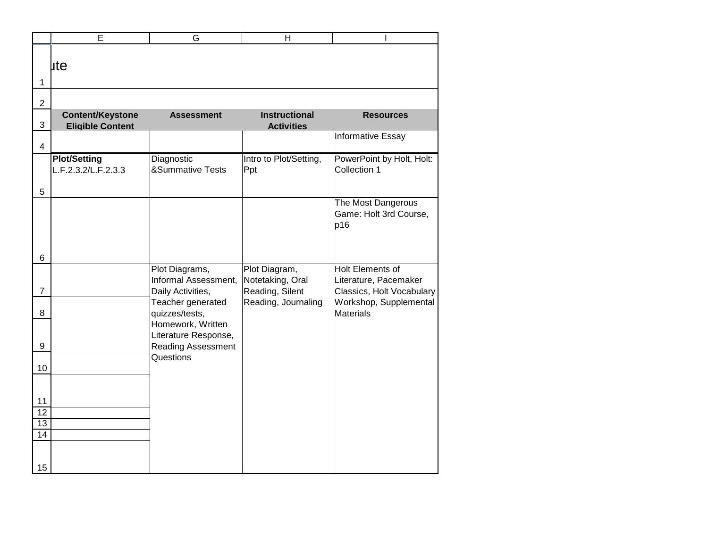| lite                                               |                                                             |                                           |                                                                               |
|----------------------------------------------------|-------------------------------------------------------------|-------------------------------------------|-------------------------------------------------------------------------------|
|                                                    |                                                             |                                           |                                                                               |
|                                                    |                                                             |                                           |                                                                               |
| <b>Content/Keystone</b><br><b>Eligible Content</b> | <b>Assessment</b>                                           | <b>Instructional</b><br><b>Activities</b> | <b>Resources</b>                                                              |
|                                                    |                                                             |                                           | <b>Informative Essay</b>                                                      |
| <b>Plot/Setting</b><br>L.F.2.3.2/L.F.2.3.3         | Diagnostic<br><b>&amp;Summative Tests</b>                   | Intro to Plot/Setting,<br> Ppt            | PowerPoint by Holt, Holt:<br>Collection 1                                     |
|                                                    |                                                             |                                           |                                                                               |
|                                                    |                                                             |                                           | The Most Dangerous<br>Game: Holt 3rd Course,<br>p16                           |
|                                                    |                                                             |                                           |                                                                               |
|                                                    | Plot Diagrams,<br>Informal Assessment,<br>Daily Activities, | Notetaking, Oral<br>Reading, Silent       | <b>Holt Elements of</b><br>Literature, Pacemaker<br>Classics, Holt Vocabulary |
|                                                    | Teacher generated<br>quizzes/tests,                         | Reading, Journaling                       | Workshop, Supplemental<br><b>Materials</b>                                    |
|                                                    | Literature Response,<br>Reading Assessment                  |                                           |                                                                               |
|                                                    |                                                             |                                           |                                                                               |
|                                                    |                                                             |                                           |                                                                               |
|                                                    |                                                             |                                           |                                                                               |
| $\overline{14}$                                    |                                                             |                                           |                                                                               |
| 13                                                 |                                                             | Homework, Written<br>Questions            | Plot Diagram,                                                                 |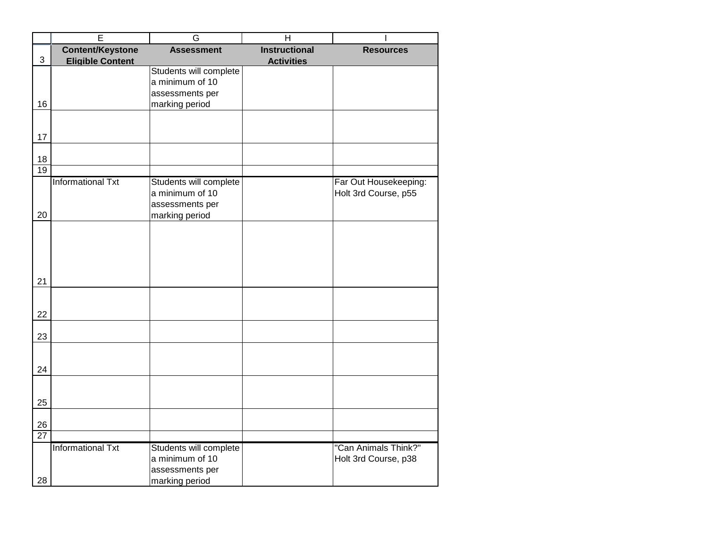|                 | Ē                                                  | G                                                                              | H                                         |                                               |
|-----------------|----------------------------------------------------|--------------------------------------------------------------------------------|-------------------------------------------|-----------------------------------------------|
| $\mathfrak{S}$  | <b>Content/Keystone</b><br><b>Eligible Content</b> | <b>Assessment</b>                                                              | <b>Instructional</b><br><b>Activities</b> | <b>Resources</b>                              |
|                 |                                                    | Students will complete<br>a minimum of 10<br>assessments per                   |                                           |                                               |
| 16              |                                                    | marking period                                                                 |                                           |                                               |
| 17              |                                                    |                                                                                |                                           |                                               |
| 18              |                                                    |                                                                                |                                           |                                               |
| $\overline{19}$ |                                                    |                                                                                |                                           |                                               |
| 20              | <b>Informational Txt</b>                           | Students will complete<br>a minimum of 10<br>assessments per<br>marking period |                                           | Far Out Housekeeping:<br>Holt 3rd Course, p55 |
| 21              |                                                    |                                                                                |                                           |                                               |
| 22              |                                                    |                                                                                |                                           |                                               |
| 23              |                                                    |                                                                                |                                           |                                               |
| 24              |                                                    |                                                                                |                                           |                                               |
| 25              |                                                    |                                                                                |                                           |                                               |
| 26              |                                                    |                                                                                |                                           |                                               |
| $\overline{27}$ |                                                    |                                                                                |                                           |                                               |
| 28              | <b>Informational Txt</b>                           | Students will complete<br>a minimum of 10<br>assessments per<br>marking period |                                           | "Can Animals Think?"<br>Holt 3rd Course, p38  |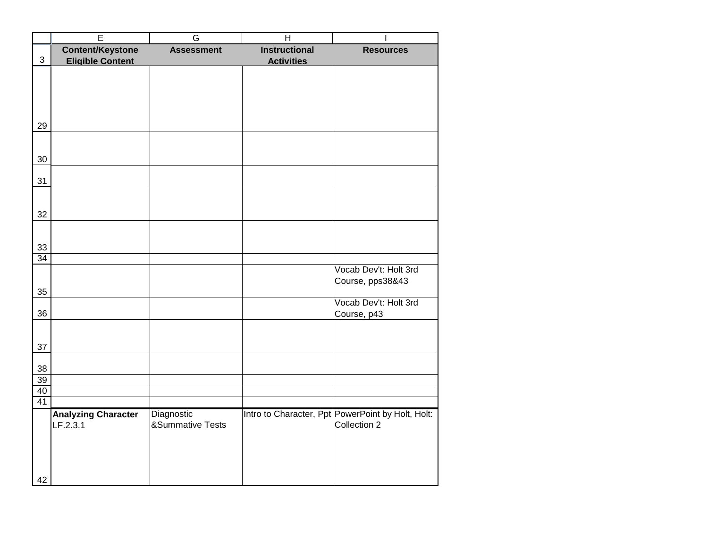|                | Ē                          | G                 | $\overline{H}$       |                                                   |
|----------------|----------------------------|-------------------|----------------------|---------------------------------------------------|
|                | <b>Content/Keystone</b>    | <b>Assessment</b> | <b>Instructional</b> | <b>Resources</b>                                  |
| $\mathfrak{S}$ | <b>Eligible Content</b>    |                   | <b>Activities</b>    |                                                   |
|                |                            |                   |                      |                                                   |
|                |                            |                   |                      |                                                   |
|                |                            |                   |                      |                                                   |
|                |                            |                   |                      |                                                   |
|                |                            |                   |                      |                                                   |
| 29             |                            |                   |                      |                                                   |
|                |                            |                   |                      |                                                   |
|                |                            |                   |                      |                                                   |
| 30             |                            |                   |                      |                                                   |
|                |                            |                   |                      |                                                   |
| 31             |                            |                   |                      |                                                   |
|                |                            |                   |                      |                                                   |
|                |                            |                   |                      |                                                   |
| 32             |                            |                   |                      |                                                   |
|                |                            |                   |                      |                                                   |
| 33             |                            |                   |                      |                                                   |
| 34             |                            |                   |                      |                                                   |
|                |                            |                   |                      | Vocab Dev't: Holt 3rd                             |
|                |                            |                   |                      | Course, pps38&43                                  |
| 35             |                            |                   |                      |                                                   |
|                |                            |                   |                      | Vocab Dev't: Holt 3rd                             |
| 36             |                            |                   |                      | Course, p43                                       |
|                |                            |                   |                      |                                                   |
|                |                            |                   |                      |                                                   |
| 37             |                            |                   |                      |                                                   |
|                |                            |                   |                      |                                                   |
| 38             |                            |                   |                      |                                                   |
| 39             |                            |                   |                      |                                                   |
| 40             |                            |                   |                      |                                                   |
| 41             |                            |                   |                      |                                                   |
|                | <b>Analyzing Character</b> | Diagnostic        |                      | Intro to Character, Ppt PowerPoint by Holt, Holt: |
|                | LF.2.3.1                   | &Summative Tests  |                      | Collection 2                                      |
|                |                            |                   |                      |                                                   |
|                |                            |                   |                      |                                                   |
|                |                            |                   |                      |                                                   |
|                |                            |                   |                      |                                                   |
| 42             |                            |                   |                      |                                                   |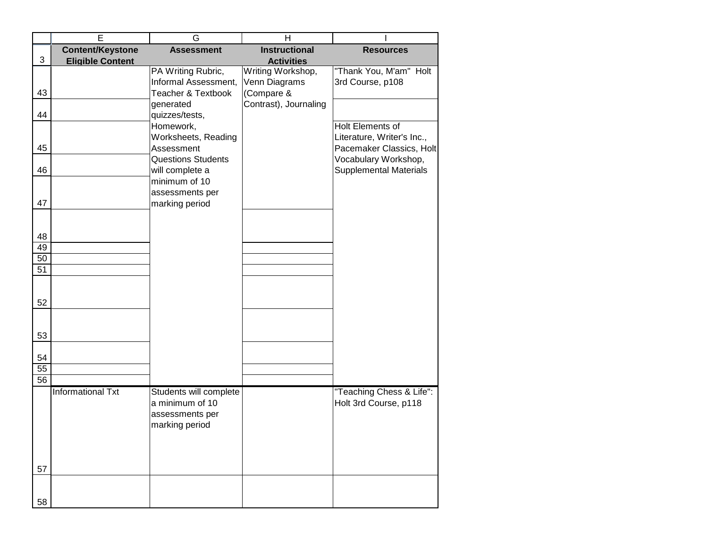|    | E                        | G                                            | н                                  |                                                       |
|----|--------------------------|----------------------------------------------|------------------------------------|-------------------------------------------------------|
|    | <b>Content/Keystone</b>  | <b>Assessment</b>                            | <b>Instructional</b>               | <b>Resources</b>                                      |
| 3  | <b>Eligible Content</b>  |                                              | <b>Activities</b>                  |                                                       |
|    |                          | PA Writing Rubric,<br>Informal Assessment,   | Writing Workshop,<br>Venn Diagrams | "Thank You, M'am" Holt<br>3rd Course, p108            |
| 43 |                          | <b>Teacher &amp; Textbook</b>                | (Compare &                         |                                                       |
|    |                          | generated                                    | Contrast), Journaling              |                                                       |
| 44 |                          | quizzes/tests,                               |                                    |                                                       |
|    |                          | Homework,                                    |                                    | <b>Holt Elements of</b>                               |
|    |                          | Worksheets, Reading                          |                                    | Literature, Writer's Inc.,                            |
| 45 |                          | Assessment                                   |                                    | Pacemaker Classics, Holt                              |
| 46 |                          | <b>Questions Students</b><br>will complete a |                                    | Vocabulary Workshop,<br><b>Supplemental Materials</b> |
|    |                          | minimum of 10                                |                                    |                                                       |
|    |                          | assessments per                              |                                    |                                                       |
| 47 |                          | marking period                               |                                    |                                                       |
|    |                          |                                              |                                    |                                                       |
| 48 |                          |                                              |                                    |                                                       |
| 49 |                          |                                              |                                    |                                                       |
| 50 |                          |                                              |                                    |                                                       |
| 51 |                          |                                              |                                    |                                                       |
|    |                          |                                              |                                    |                                                       |
|    |                          |                                              |                                    |                                                       |
| 52 |                          |                                              |                                    |                                                       |
|    |                          |                                              |                                    |                                                       |
|    |                          |                                              |                                    |                                                       |
| 53 |                          |                                              |                                    |                                                       |
| 54 |                          |                                              |                                    |                                                       |
| 55 |                          |                                              |                                    |                                                       |
| 56 |                          |                                              |                                    |                                                       |
|    | <b>Informational Txt</b> | Students will complete                       |                                    | "Teaching Chess & Life":                              |
|    |                          | a minimum of 10                              |                                    | Holt 3rd Course, p118                                 |
|    |                          | assessments per                              |                                    |                                                       |
|    |                          | marking period                               |                                    |                                                       |
|    |                          |                                              |                                    |                                                       |
|    |                          |                                              |                                    |                                                       |
|    |                          |                                              |                                    |                                                       |
| 57 |                          |                                              |                                    |                                                       |
|    |                          |                                              |                                    |                                                       |
| 58 |                          |                                              |                                    |                                                       |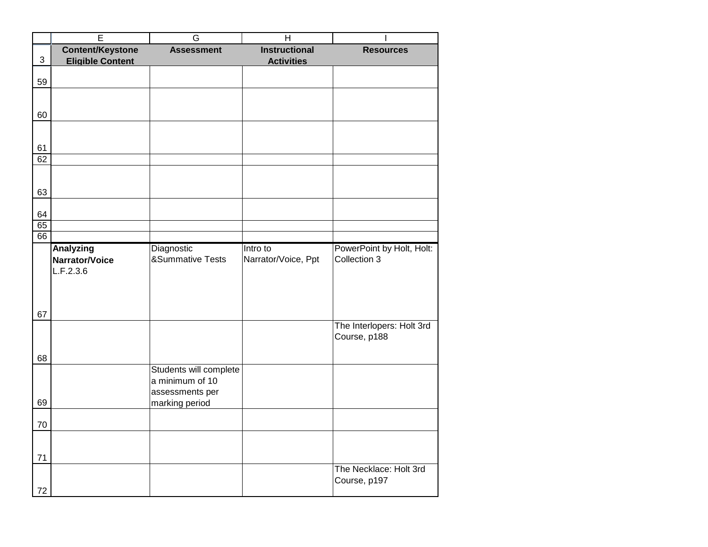|            | $\overline{E}$          | G                           | H                    |                           |
|------------|-------------------------|-----------------------------|----------------------|---------------------------|
|            | <b>Content/Keystone</b> | <b>Assessment</b>           | <b>Instructional</b> | <b>Resources</b>          |
| $\sqrt{3}$ | <b>Eligible Content</b> |                             | <b>Activities</b>    |                           |
|            |                         |                             |                      |                           |
| 59         |                         |                             |                      |                           |
|            |                         |                             |                      |                           |
|            |                         |                             |                      |                           |
| 60         |                         |                             |                      |                           |
|            |                         |                             |                      |                           |
|            |                         |                             |                      |                           |
| 61         |                         |                             |                      |                           |
| 62         |                         |                             |                      |                           |
|            |                         |                             |                      |                           |
| 63         |                         |                             |                      |                           |
|            |                         |                             |                      |                           |
| 64         |                         |                             |                      |                           |
| 65         |                         |                             |                      |                           |
| 66         |                         |                             |                      |                           |
|            | <b>Analyzing</b>        | Diagnostic                  | Intro to             | PowerPoint by Holt, Holt: |
|            | Narrator/Voice          | <b>&amp;Summative Tests</b> | Narrator/Voice, Ppt  | Collection 3              |
|            | L.F.2.3.6               |                             |                      |                           |
|            |                         |                             |                      |                           |
|            |                         |                             |                      |                           |
|            |                         |                             |                      |                           |
| 67         |                         |                             |                      |                           |
|            |                         |                             |                      | The Interlopers: Holt 3rd |
|            |                         |                             |                      | Course, p188              |
|            |                         |                             |                      |                           |
| 68         |                         |                             |                      |                           |
|            |                         | Students will complete      |                      |                           |
|            |                         | a minimum of 10             |                      |                           |
|            |                         | assessments per             |                      |                           |
| 69         |                         | marking period              |                      |                           |
| 70         |                         |                             |                      |                           |
|            |                         |                             |                      |                           |
|            |                         |                             |                      |                           |
| $71$       |                         |                             |                      |                           |
|            |                         |                             |                      | The Necklace: Holt 3rd    |
|            |                         |                             |                      | Course, p197              |
| 72         |                         |                             |                      |                           |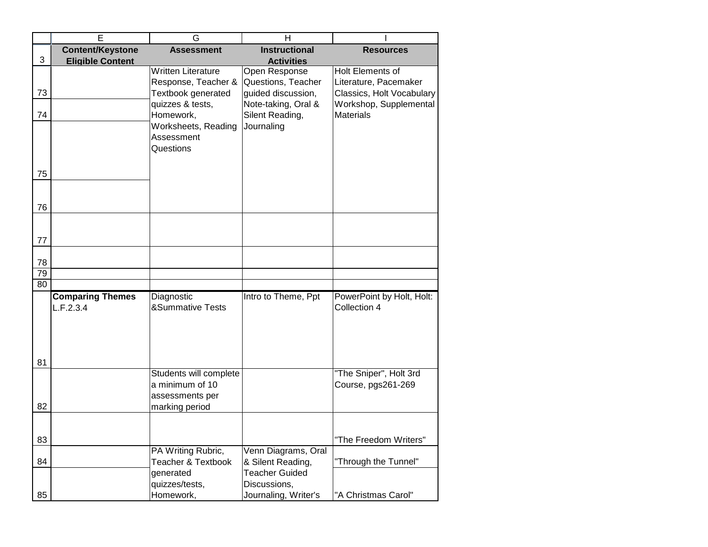|    | Ē                       | G                             | $\overline{\mathsf{H}}$ |                           |
|----|-------------------------|-------------------------------|-------------------------|---------------------------|
|    | <b>Content/Keystone</b> | <b>Assessment</b>             | <b>Instructional</b>    | <b>Resources</b>          |
| 3  | <b>Eligible Content</b> |                               | <b>Activities</b>       |                           |
|    |                         | <b>Written Literature</b>     | Open Response           | Holt Elements of          |
|    |                         | Response, Teacher &           | Questions, Teacher      | Literature, Pacemaker     |
| 73 |                         | Textbook generated            | guided discussion,      | Classics, Holt Vocabulary |
|    |                         | quizzes & tests,              | Note-taking, Oral &     | Workshop, Supplemental    |
| 74 |                         | Homework,                     | Silent Reading,         | <b>Materials</b>          |
|    |                         | Worksheets, Reading           | Journaling              |                           |
|    |                         | Assessment                    |                         |                           |
|    |                         | Questions                     |                         |                           |
|    |                         |                               |                         |                           |
| 75 |                         |                               |                         |                           |
|    |                         |                               |                         |                           |
|    |                         |                               |                         |                           |
|    |                         |                               |                         |                           |
| 76 |                         |                               |                         |                           |
|    |                         |                               |                         |                           |
|    |                         |                               |                         |                           |
| 77 |                         |                               |                         |                           |
| 78 |                         |                               |                         |                           |
| 79 |                         |                               |                         |                           |
| 80 |                         |                               |                         |                           |
|    | <b>Comparing Themes</b> | Diagnostic                    | Intro to Theme, Ppt     | PowerPoint by Holt, Holt: |
|    | L.F.2.3.4               | <b>&amp;Summative Tests</b>   |                         | Collection 4              |
|    |                         |                               |                         |                           |
|    |                         |                               |                         |                           |
|    |                         |                               |                         |                           |
|    |                         |                               |                         |                           |
| 81 |                         |                               |                         |                           |
|    |                         | Students will complete        |                         | "The Sniper", Holt 3rd    |
|    |                         | a minimum of 10               |                         | Course, pgs261-269        |
|    |                         | assessments per               |                         |                           |
| 82 |                         | marking period                |                         |                           |
|    |                         |                               |                         |                           |
|    |                         |                               |                         |                           |
| 83 |                         |                               |                         | "The Freedom Writers"     |
|    |                         | PA Writing Rubric,            | Venn Diagrams, Oral     |                           |
| 84 |                         | <b>Teacher &amp; Textbook</b> | & Silent Reading,       | "Through the Tunnel"      |
|    |                         | generated                     | <b>Teacher Guided</b>   |                           |
|    |                         | quizzes/tests,                | Discussions,            |                           |
| 85 |                         |                               |                         | "A Christmas Carol"       |
|    |                         | Homework,                     | Journaling, Writer's    |                           |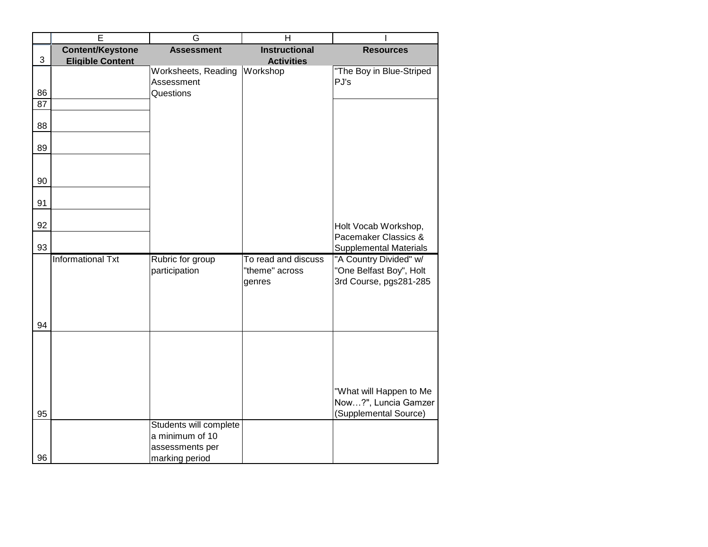|                 | $\overline{E}$           | G                      | $\overline{H}$       |                                               |
|-----------------|--------------------------|------------------------|----------------------|-----------------------------------------------|
|                 | <b>Content/Keystone</b>  | <b>Assessment</b>      | <b>Instructional</b> | <b>Resources</b>                              |
| $\sqrt{3}$      | <b>Eligible Content</b>  |                        | <b>Activities</b>    |                                               |
|                 |                          | Worksheets, Reading    | Workshop             | "The Boy in Blue-Striped                      |
|                 |                          | Assessment             |                      | PJ's                                          |
| 86              |                          | Questions              |                      |                                               |
| $\overline{87}$ |                          |                        |                      |                                               |
|                 |                          |                        |                      |                                               |
| 88              |                          |                        |                      |                                               |
| 89              |                          |                        |                      |                                               |
|                 |                          |                        |                      |                                               |
|                 |                          |                        |                      |                                               |
| 90              |                          |                        |                      |                                               |
|                 |                          |                        |                      |                                               |
| 91              |                          |                        |                      |                                               |
|                 |                          |                        |                      |                                               |
| 92              |                          |                        |                      | Holt Vocab Workshop,                          |
|                 |                          |                        |                      | Pacemaker Classics &                          |
| 93              |                          |                        |                      | <b>Supplemental Materials</b>                 |
|                 | <b>Informational Txt</b> | Rubric for group       | To read and discuss  | "A Country Divided" w/                        |
|                 |                          | participation          | "theme" across       | "One Belfast Boy", Holt                       |
|                 |                          |                        | genres               | 3rd Course, pgs281-285                        |
|                 |                          |                        |                      |                                               |
|                 |                          |                        |                      |                                               |
| 94              |                          |                        |                      |                                               |
|                 |                          |                        |                      |                                               |
|                 |                          |                        |                      |                                               |
|                 |                          |                        |                      |                                               |
|                 |                          |                        |                      |                                               |
|                 |                          |                        |                      |                                               |
|                 |                          |                        |                      | "What will Happen to Me                       |
| 95              |                          |                        |                      | Now?", Luncia Gamzer<br>(Supplemental Source) |
|                 |                          | Students will complete |                      |                                               |
|                 |                          | a minimum of 10        |                      |                                               |
|                 |                          | assessments per        |                      |                                               |
| 96              |                          | marking period         |                      |                                               |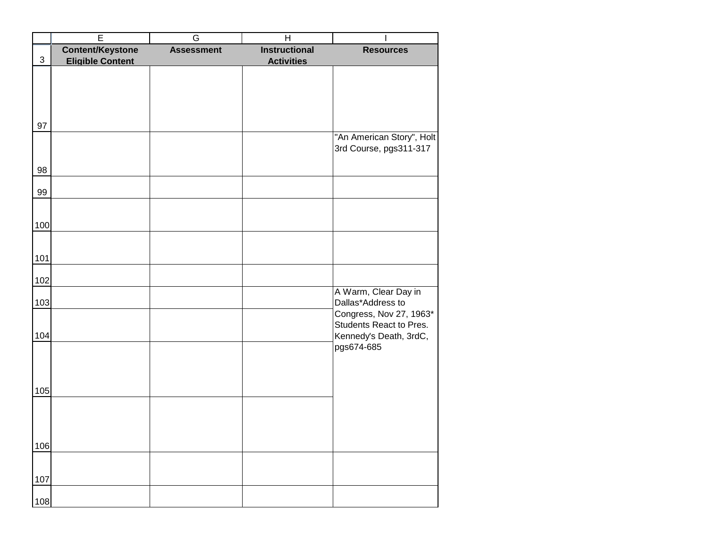|            | E                       | G                 | H                    |                                                                              |
|------------|-------------------------|-------------------|----------------------|------------------------------------------------------------------------------|
|            | <b>Content/Keystone</b> | <b>Assessment</b> | <b>Instructional</b> | <b>Resources</b>                                                             |
| $\sqrt{3}$ | <b>Eligible Content</b> |                   | <b>Activities</b>    |                                                                              |
|            |                         |                   |                      |                                                                              |
|            |                         |                   |                      |                                                                              |
| 97         |                         |                   |                      |                                                                              |
|            |                         |                   |                      | "An American Story", Holt<br>3rd Course, pgs311-317                          |
| 98         |                         |                   |                      |                                                                              |
| 99         |                         |                   |                      |                                                                              |
| 100        |                         |                   |                      |                                                                              |
|            |                         |                   |                      |                                                                              |
| 101        |                         |                   |                      |                                                                              |
| 102        |                         |                   |                      |                                                                              |
| 103        |                         |                   |                      | A Warm, Clear Day in<br>Dallas*Address to                                    |
| 104        |                         |                   |                      | Congress, Nov 27, 1963*<br>Students React to Pres.<br>Kennedy's Death, 3rdC, |
|            |                         |                   |                      | pgs674-685                                                                   |
|            |                         |                   |                      |                                                                              |
| 105        |                         |                   |                      |                                                                              |
|            |                         |                   |                      |                                                                              |
| 106        |                         |                   |                      |                                                                              |
|            |                         |                   |                      |                                                                              |
| 107        |                         |                   |                      |                                                                              |
| 108        |                         |                   |                      |                                                                              |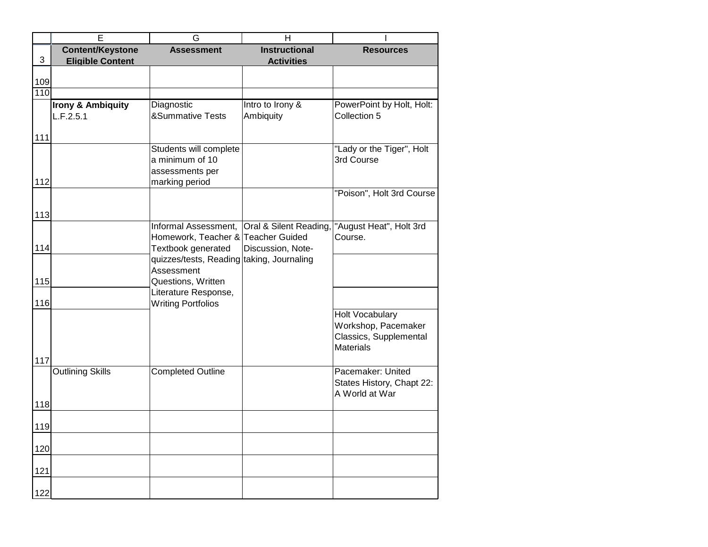|     | E                            | G                                         | H                      |                           |
|-----|------------------------------|-------------------------------------------|------------------------|---------------------------|
|     | <b>Content/Keystone</b>      | <b>Assessment</b>                         | <b>Instructional</b>   | <b>Resources</b>          |
| 3   | <b>Eligible Content</b>      |                                           | <b>Activities</b>      |                           |
|     |                              |                                           |                        |                           |
| 109 |                              |                                           |                        |                           |
| 110 |                              |                                           |                        |                           |
|     | <b>Irony &amp; Ambiquity</b> | Diagnostic                                | Intro to Irony &       | PowerPoint by Holt, Holt: |
|     | L.F.2.5.1                    | <b>&amp;Summative Tests</b>               | Ambiquity              | Collection 5              |
|     |                              |                                           |                        |                           |
| 111 |                              | Students will complete                    |                        | "Lady or the Tiger", Holt |
|     |                              | a minimum of 10                           |                        | 3rd Course                |
|     |                              | assessments per                           |                        |                           |
| 112 |                              | marking period                            |                        |                           |
|     |                              |                                           |                        | "Poison", Holt 3rd Course |
|     |                              |                                           |                        |                           |
| 113 |                              |                                           |                        |                           |
|     |                              | Informal Assessment,                      | Oral & Silent Reading, | "August Heat", Holt 3rd   |
|     |                              | Homework, Teacher & Teacher Guided        |                        | Course.                   |
| 114 |                              | Textbook generated                        | Discussion, Note-      |                           |
|     |                              | quizzes/tests, Reading taking, Journaling |                        |                           |
|     |                              | Assessment                                |                        |                           |
| 115 |                              | Questions, Written                        |                        |                           |
|     |                              | Literature Response,                      |                        |                           |
| 116 |                              | <b>Writing Portfolios</b>                 |                        |                           |
|     |                              |                                           |                        | <b>Holt Vocabulary</b>    |
|     |                              |                                           |                        | Workshop, Pacemaker       |
|     |                              |                                           |                        | Classics, Supplemental    |
|     |                              |                                           |                        | <b>Materials</b>          |
| 117 |                              |                                           |                        |                           |
|     | <b>Outlining Skills</b>      | <b>Completed Outline</b>                  |                        | Pacemaker: United         |
|     |                              |                                           |                        | States History, Chapt 22: |
|     |                              |                                           |                        | A World at War            |
| 118 |                              |                                           |                        |                           |
| 119 |                              |                                           |                        |                           |
|     |                              |                                           |                        |                           |
| 120 |                              |                                           |                        |                           |
| 121 |                              |                                           |                        |                           |
|     |                              |                                           |                        |                           |
| 122 |                              |                                           |                        |                           |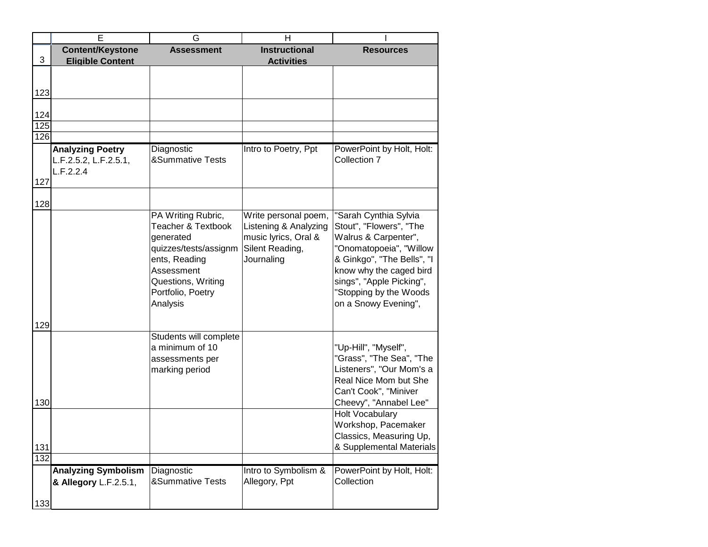|     | Е                          | G                                                   | н                     |                                                   |
|-----|----------------------------|-----------------------------------------------------|-----------------------|---------------------------------------------------|
|     | <b>Content/Keystone</b>    | <b>Assessment</b>                                   | <b>Instructional</b>  | <b>Resources</b>                                  |
| 3   | <b>Eligible Content</b>    |                                                     | <b>Activities</b>     |                                                   |
|     |                            |                                                     |                       |                                                   |
|     |                            |                                                     |                       |                                                   |
| 123 |                            |                                                     |                       |                                                   |
|     |                            |                                                     |                       |                                                   |
| 124 |                            |                                                     |                       |                                                   |
| 125 |                            |                                                     |                       |                                                   |
| 126 |                            |                                                     |                       |                                                   |
|     | <b>Analyzing Poetry</b>    | Diagnostic                                          | Intro to Poetry, Ppt  | PowerPoint by Holt, Holt:                         |
|     | L.F.2.5.2, L.F.2.5.1,      | <b>&amp;Summative Tests</b>                         |                       | Collection 7                                      |
|     | L.F.2.2.4                  |                                                     |                       |                                                   |
| 127 |                            |                                                     |                       |                                                   |
|     |                            |                                                     |                       |                                                   |
| 128 |                            |                                                     |                       |                                                   |
|     |                            | PA Writing Rubric,<br><b>Teacher &amp; Textbook</b> | Write personal poem,  | "Sarah Cynthia Sylvia                             |
|     |                            |                                                     | Listening & Analyzing | Stout", "Flowers", "The                           |
|     |                            | generated                                           | music lyrics, Oral &  | Walrus & Carpenter",                              |
|     |                            | quizzes/tests/assignm                               | Silent Reading,       | "Onomatopoeia", "Willow                           |
|     |                            | ents, Reading                                       | Journaling            | & Ginkgo", "The Bells", "I                        |
|     |                            | Assessment                                          |                       | know why the caged bird                           |
|     |                            | Questions, Writing                                  |                       | sings", "Apple Picking",                          |
|     |                            | Portfolio, Poetry                                   |                       | "Stopping by the Woods                            |
|     |                            | Analysis                                            |                       | on a Snowy Evening",                              |
|     |                            |                                                     |                       |                                                   |
| 129 |                            |                                                     |                       |                                                   |
|     |                            | Students will complete                              |                       |                                                   |
|     |                            | a minimum of 10                                     |                       | "Up-Hill", "Myself",<br>"Grass", "The Sea", "The  |
|     |                            | assessments per                                     |                       |                                                   |
|     |                            | marking period                                      |                       | Listeners", "Our Mom's a<br>Real Nice Mom but She |
|     |                            |                                                     |                       |                                                   |
|     |                            |                                                     |                       | Can't Cook", "Miniver                             |
| 130 |                            |                                                     |                       | Cheevy", "Annabel Lee"<br><b>Holt Vocabulary</b>  |
|     |                            |                                                     |                       |                                                   |
|     |                            |                                                     |                       | Workshop, Pacemaker                               |
|     |                            |                                                     |                       | Classics, Measuring Up,                           |
| 131 |                            |                                                     |                       | & Supplemental Materials                          |
| 132 |                            |                                                     |                       |                                                   |
|     | <b>Analyzing Symbolism</b> | Diagnostic                                          | Intro to Symbolism &  | PowerPoint by Holt, Holt:                         |
|     | & Allegory L.F.2.5.1,      | &Summative Tests                                    | Allegory, Ppt         | Collection                                        |
|     |                            |                                                     |                       |                                                   |
| 133 |                            |                                                     |                       |                                                   |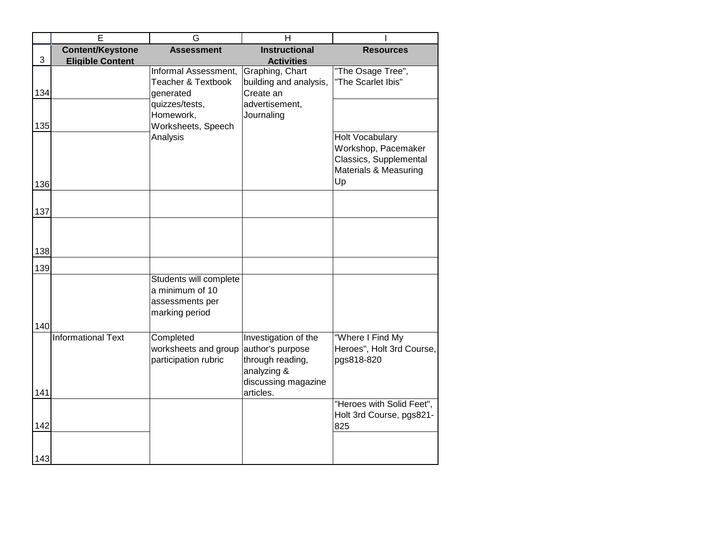|     | Е                         | G                             | H                      |                           |
|-----|---------------------------|-------------------------------|------------------------|---------------------------|
|     | <b>Content/Keystone</b>   | <b>Assessment</b>             | <b>Instructional</b>   | <b>Resources</b>          |
| 3   | <b>Eligible Content</b>   |                               | <b>Activities</b>      |                           |
|     |                           | Informal Assessment,          | Graphing, Chart        | "The Osage Tree",         |
|     |                           | <b>Teacher &amp; Textbook</b> | building and analysis, | "The Scarlet Ibis"        |
| 134 |                           | generated                     | Create an              |                           |
|     |                           | quizzes/tests,                | advertisement,         |                           |
|     |                           | Homework,                     | Journaling             |                           |
| 135 |                           | Worksheets, Speech            |                        |                           |
|     |                           | Analysis                      |                        | <b>Holt Vocabulary</b>    |
|     |                           |                               |                        | Workshop, Pacemaker       |
|     |                           |                               |                        |                           |
|     |                           |                               |                        | Classics, Supplemental    |
|     |                           |                               |                        | Materials & Measuring     |
| 136 |                           |                               |                        | Up                        |
|     |                           |                               |                        |                           |
| 137 |                           |                               |                        |                           |
|     |                           |                               |                        |                           |
|     |                           |                               |                        |                           |
|     |                           |                               |                        |                           |
| 138 |                           |                               |                        |                           |
| 139 |                           |                               |                        |                           |
|     |                           | Students will complete        |                        |                           |
|     |                           | a minimum of 10               |                        |                           |
|     |                           | assessments per               |                        |                           |
|     |                           | marking period                |                        |                           |
|     |                           |                               |                        |                           |
| 140 |                           |                               |                        |                           |
|     | <b>Informational Text</b> | Completed                     | Investigation of the   | "Where I Find My          |
|     |                           | worksheets and group          | author's purpose       | Heroes", Holt 3rd Course, |
|     |                           | participation rubric          | through reading,       | pgs818-820                |
|     |                           |                               | analyzing &            |                           |
|     |                           |                               | discussing magazine    |                           |
| 141 |                           |                               | articles.              |                           |
|     |                           |                               |                        | "Heroes with Solid Feet", |
|     |                           |                               |                        | Holt 3rd Course, pgs821-  |
| 142 |                           |                               |                        | 825                       |
|     |                           |                               |                        |                           |
|     |                           |                               |                        |                           |
| 143 |                           |                               |                        |                           |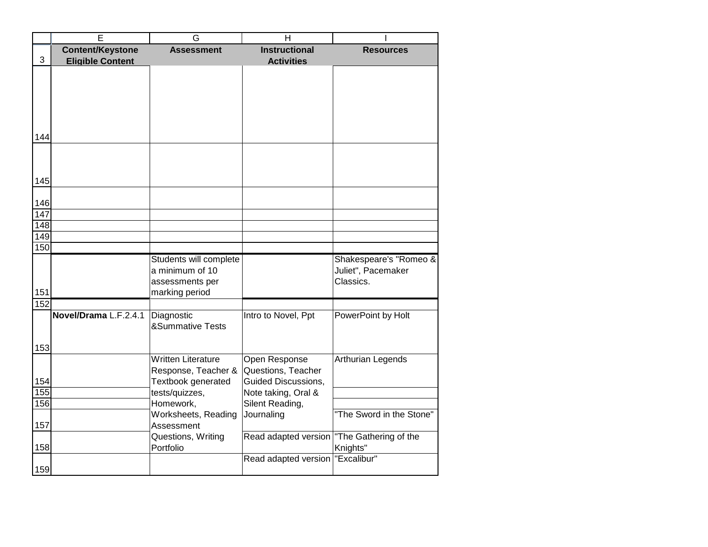|     | E                       | G                                 | H                          |                                   |
|-----|-------------------------|-----------------------------------|----------------------------|-----------------------------------|
|     | <b>Content/Keystone</b> | <b>Assessment</b>                 | <b>Instructional</b>       | <b>Resources</b>                  |
| 3   | <b>Eligible Content</b> |                                   | <b>Activities</b>          |                                   |
|     |                         |                                   |                            |                                   |
|     |                         |                                   |                            |                                   |
|     |                         |                                   |                            |                                   |
|     |                         |                                   |                            |                                   |
|     |                         |                                   |                            |                                   |
|     |                         |                                   |                            |                                   |
| 144 |                         |                                   |                            |                                   |
|     |                         |                                   |                            |                                   |
|     |                         |                                   |                            |                                   |
|     |                         |                                   |                            |                                   |
| 145 |                         |                                   |                            |                                   |
| 146 |                         |                                   |                            |                                   |
| 147 |                         |                                   |                            |                                   |
| 148 |                         |                                   |                            |                                   |
| 149 |                         |                                   |                            |                                   |
| 150 |                         |                                   |                            |                                   |
|     |                         | Students will complete            |                            | Shakespeare's "Romeo &            |
|     |                         | a minimum of 10                   |                            | Juliet", Pacemaker                |
|     |                         | assessments per                   |                            | Classics.                         |
| 151 |                         | marking period                    |                            |                                   |
| 152 |                         |                                   |                            |                                   |
|     | Novel/Drama L.F.2.4.1   | Diagnostic                        | Intro to Novel, Ppt        | PowerPoint by Holt                |
|     |                         | <b>&amp;Summative Tests</b>       |                            |                                   |
|     |                         |                                   |                            |                                   |
| 153 |                         |                                   |                            |                                   |
|     |                         | <b>Written Literature</b>         | Open Response              | Arthurian Legends                 |
|     |                         | Response, Teacher &               | Questions, Teacher         |                                   |
| 154 |                         | Textbook generated                | <b>Guided Discussions,</b> |                                   |
| 155 |                         | tests/quizzes,                    | Note taking, Oral &        |                                   |
| 156 |                         | Homework,                         | Silent Reading,            |                                   |
|     |                         | Worksheets, Reading<br>Assessment | Journaling                 | "The Sword in the Stone"          |
| 157 |                         |                                   |                            |                                   |
| 158 |                         | Questions, Writing<br>Portfolio   | Read adapted version       | "The Gathering of the<br>Knights" |
|     |                         |                                   | Read adapted version       | "Excalibur"                       |
| 159 |                         |                                   |                            |                                   |
|     |                         |                                   |                            |                                   |